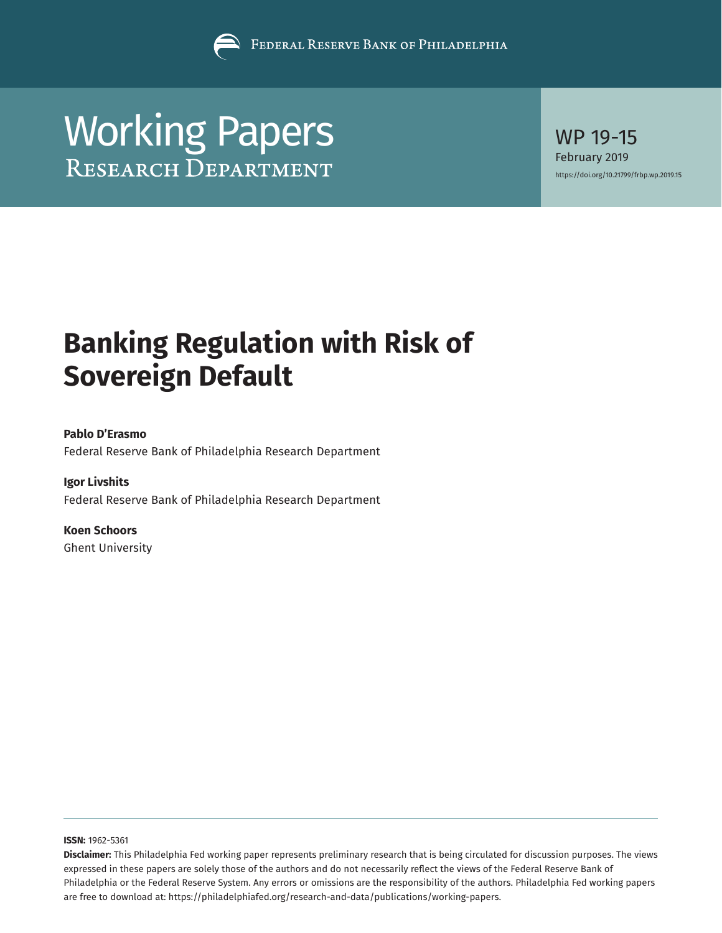

# [Working Papers](https://www.philadelphiafed.org/research-and-data/publications/working-papers) WP 19-15

February 2019 <https://doi.org/10.21799/frbp.wp.2019.15>

# **Banking Regulation with Risk of Sovereign Default**

### **Pablo D'Erasmo**

Federal Reserve Bank of Philadelphia Research Department

# **Igor Livshits**

Federal Reserve Bank of Philadelphia Research Department

# **Koen Schoors** Ghent University

**ISSN:** 1962-5361

**Disclaimer:** This Philadelphia Fed working paper represents preliminary research that is being circulated for discussion purposes. The views expressed in these papers are solely those of the authors and do not necessarily reflect the views of the Federal Reserve Bank of Philadelphia or the Federal Reserve System. Any errors or omissions are the responsibility of the authors. Philadelphia Fed working papers are free to download at: <https://philadelphiafed.org/research-and-data/publications/working-papers>.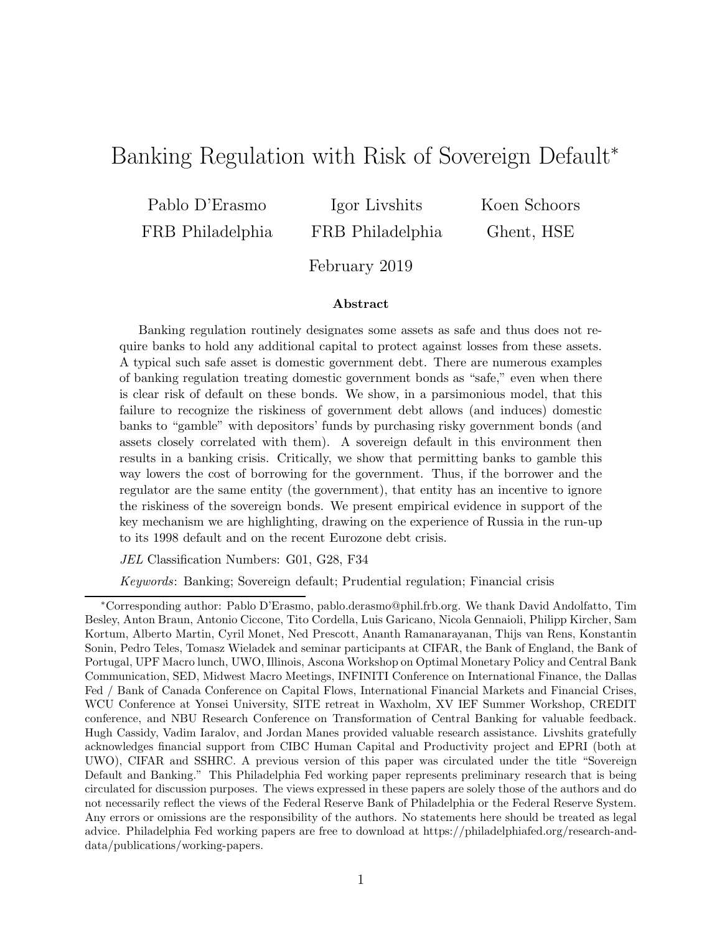# Banking Regulation with Risk of Sovereign Default<sup>∗</sup>

Pablo D'Erasmo FRB Philadelphia

Igor Livshits FRB Philadelphia Koen Schoors Ghent, HSE

February 2019

### Abstract

Banking regulation routinely designates some assets as safe and thus does not require banks to hold any additional capital to protect against losses from these assets. A typical such safe asset is domestic government debt. There are numerous examples of banking regulation treating domestic government bonds as "safe," even when there is clear risk of default on these bonds. We show, in a parsimonious model, that this failure to recognize the riskiness of government debt allows (and induces) domestic banks to "gamble" with depositors' funds by purchasing risky government bonds (and assets closely correlated with them). A sovereign default in this environment then results in a banking crisis. Critically, we show that permitting banks to gamble this way lowers the cost of borrowing for the government. Thus, if the borrower and the regulator are the same entity (the government), that entity has an incentive to ignore the riskiness of the sovereign bonds. We present empirical evidence in support of the key mechanism we are highlighting, drawing on the experience of Russia in the run-up to its 1998 default and on the recent Eurozone debt crisis.

JEL Classification Numbers: G01, G28, F34

Keywords: Banking; Sovereign default; Prudential regulation; Financial crisis

<sup>∗</sup>Corresponding author: Pablo D'Erasmo, pablo.derasmo@phil.frb.org. We thank David Andolfatto, Tim Besley, Anton Braun, Antonio Ciccone, Tito Cordella, Luis Garicano, Nicola Gennaioli, Philipp Kircher, Sam Kortum, Alberto Martin, Cyril Monet, Ned Prescott, Ananth Ramanarayanan, Thijs van Rens, Konstantin Sonin, Pedro Teles, Tomasz Wieladek and seminar participants at CIFAR, the Bank of England, the Bank of Portugal, UPF Macro lunch, UWO, Illinois, Ascona Workshop on Optimal Monetary Policy and Central Bank Communication, SED, Midwest Macro Meetings, INFINITI Conference on International Finance, the Dallas Fed / Bank of Canada Conference on Capital Flows, International Financial Markets and Financial Crises, WCU Conference at Yonsei University, SITE retreat in Waxholm, XV IEF Summer Workshop, CREDIT conference, and NBU Research Conference on Transformation of Central Banking for valuable feedback. Hugh Cassidy, Vadim Iaralov, and Jordan Manes provided valuable research assistance. Livshits gratefully acknowledges financial support from CIBC Human Capital and Productivity project and EPRI (both at UWO), CIFAR and SSHRC. A previous version of this paper was circulated under the title "Sovereign Default and Banking." This Philadelphia Fed working paper represents preliminary research that is being circulated for discussion purposes. The views expressed in these papers are solely those of the authors and do not necessarily reflect the views of the Federal Reserve Bank of Philadelphia or the Federal Reserve System. Any errors or omissions are the responsibility of the authors. No statements here should be treated as legal advice. Philadelphia Fed working papers are free to download at https://philadelphiafed.org/research-anddata/publications/working-papers.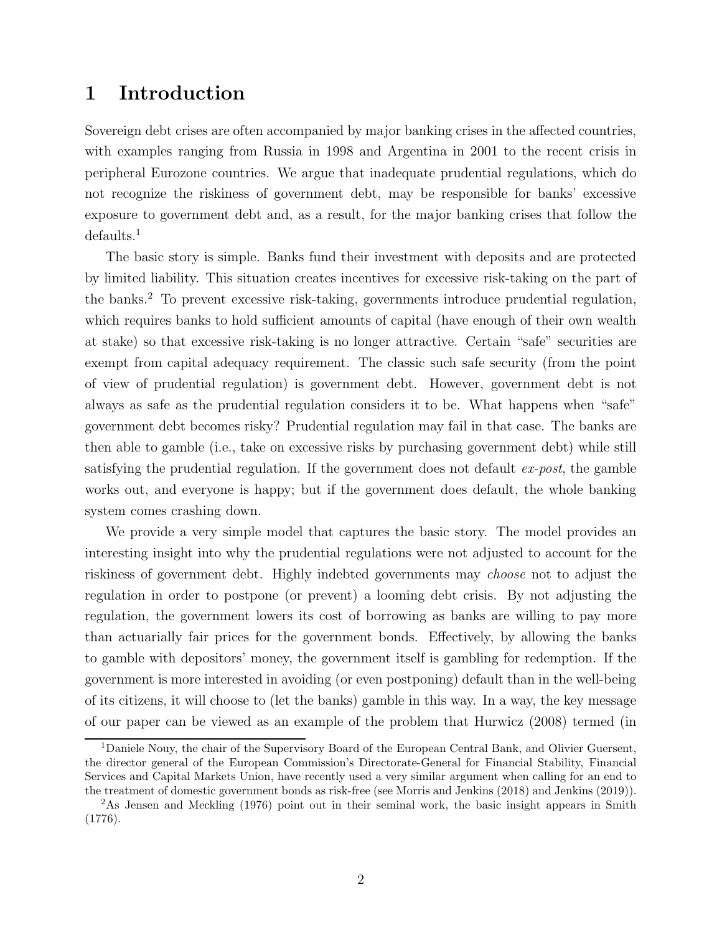# 1 Introduction

Sovereign debt crises are often accompanied by major banking crises in the affected countries, with examples ranging from Russia in 1998 and Argentina in 2001 to the recent crisis in peripheral Eurozone countries. We argue that inadequate prudential regulations, which do not recognize the riskiness of government debt, may be responsible for banks' excessive exposure to government debt and, as a result, for the major banking crises that follow the defaults.<sup>1</sup>

The basic story is simple. Banks fund their investment with deposits and are protected by limited liability. This situation creates incentives for excessive risk-taking on the part of the banks.<sup>2</sup> To prevent excessive risk-taking, governments introduce prudential regulation, which requires banks to hold sufficient amounts of capital (have enough of their own wealth at stake) so that excessive risk-taking is no longer attractive. Certain "safe" securities are exempt from capital adequacy requirement. The classic such safe security (from the point of view of prudential regulation) is government debt. However, government debt is not always as safe as the prudential regulation considers it to be. What happens when "safe" government debt becomes risky? Prudential regulation may fail in that case. The banks are then able to gamble (i.e., take on excessive risks by purchasing government debt) while still satisfying the prudential regulation. If the government does not default  $ex\text{-}post$ , the gamble works out, and everyone is happy; but if the government does default, the whole banking system comes crashing down.

We provide a very simple model that captures the basic story. The model provides an interesting insight into why the prudential regulations were not adjusted to account for the riskiness of government debt. Highly indebted governments may choose not to adjust the regulation in order to postpone (or prevent) a looming debt crisis. By not adjusting the regulation, the government lowers its cost of borrowing as banks are willing to pay more than actuarially fair prices for the government bonds. Effectively, by allowing the banks to gamble with depositors' money, the government itself is gambling for redemption. If the government is more interested in avoiding (or even postponing) default than in the well-being of its citizens, it will choose to (let the banks) gamble in this way. In a way, the key message of our paper can be viewed as an example of the problem that Hurwicz (2008) termed (in

<sup>1</sup>Daniele Nouy, the chair of the Supervisory Board of the European Central Bank, and Olivier Guersent, the director general of the European Commission's Directorate-General for Financial Stability, Financial Services and Capital Markets Union, have recently used a very similar argument when calling for an end to the treatment of domestic government bonds as risk-free (see Morris and Jenkins (2018) and Jenkins (2019)).

<sup>&</sup>lt;sup>2</sup>As Jensen and Meckling (1976) point out in their seminal work, the basic insight appears in Smith (1776).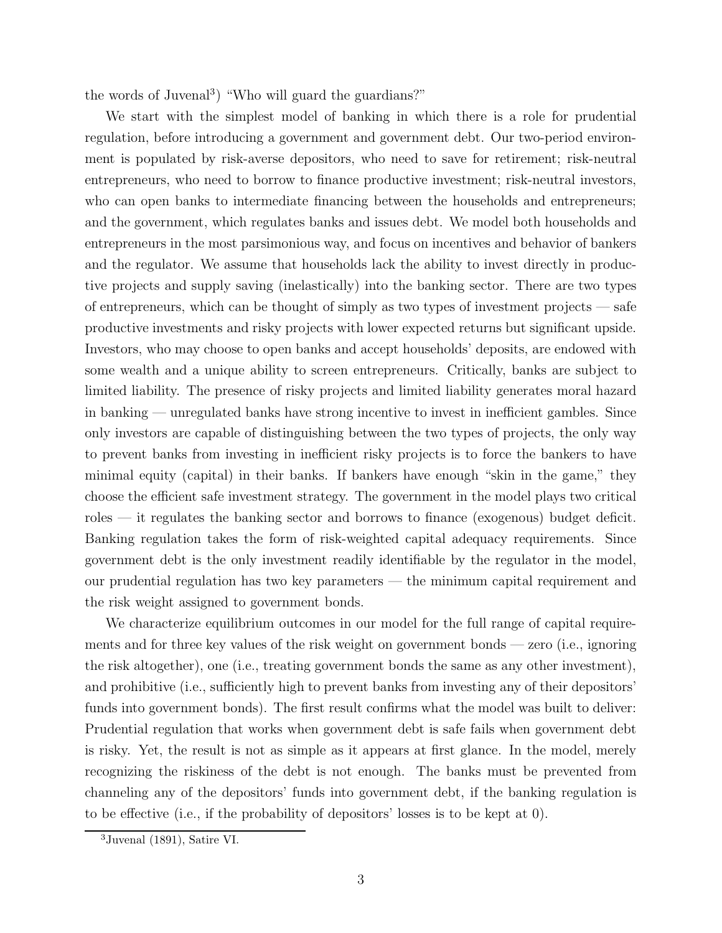the words of Juvenal<sup>3</sup> ) "Who will guard the guardians?"

We start with the simplest model of banking in which there is a role for prudential regulation, before introducing a government and government debt. Our two-period environment is populated by risk-averse depositors, who need to save for retirement; risk-neutral entrepreneurs, who need to borrow to finance productive investment; risk-neutral investors, who can open banks to intermediate financing between the households and entrepreneurs; and the government, which regulates banks and issues debt. We model both households and entrepreneurs in the most parsimonious way, and focus on incentives and behavior of bankers and the regulator. We assume that households lack the ability to invest directly in productive projects and supply saving (inelastically) into the banking sector. There are two types of entrepreneurs, which can be thought of simply as two types of investment projects — safe productive investments and risky projects with lower expected returns but significant upside. Investors, who may choose to open banks and accept households' deposits, are endowed with some wealth and a unique ability to screen entrepreneurs. Critically, banks are subject to limited liability. The presence of risky projects and limited liability generates moral hazard in banking — unregulated banks have strong incentive to invest in inefficient gambles. Since only investors are capable of distinguishing between the two types of projects, the only way to prevent banks from investing in inefficient risky projects is to force the bankers to have minimal equity (capital) in their banks. If bankers have enough "skin in the game," they choose the efficient safe investment strategy. The government in the model plays two critical roles — it regulates the banking sector and borrows to finance (exogenous) budget deficit. Banking regulation takes the form of risk-weighted capital adequacy requirements. Since government debt is the only investment readily identifiable by the regulator in the model, our prudential regulation has two key parameters — the minimum capital requirement and the risk weight assigned to government bonds.

We characterize equilibrium outcomes in our model for the full range of capital requirements and for three key values of the risk weight on government bonds — zero (i.e., ignoring the risk altogether), one (i.e., treating government bonds the same as any other investment), and prohibitive (i.e., sufficiently high to prevent banks from investing any of their depositors' funds into government bonds). The first result confirms what the model was built to deliver: Prudential regulation that works when government debt is safe fails when government debt is risky. Yet, the result is not as simple as it appears at first glance. In the model, merely recognizing the riskiness of the debt is not enough. The banks must be prevented from channeling any of the depositors' funds into government debt, if the banking regulation is to be effective (i.e., if the probability of depositors' losses is to be kept at 0).

 $3$ Juvenal (1891), Satire VI.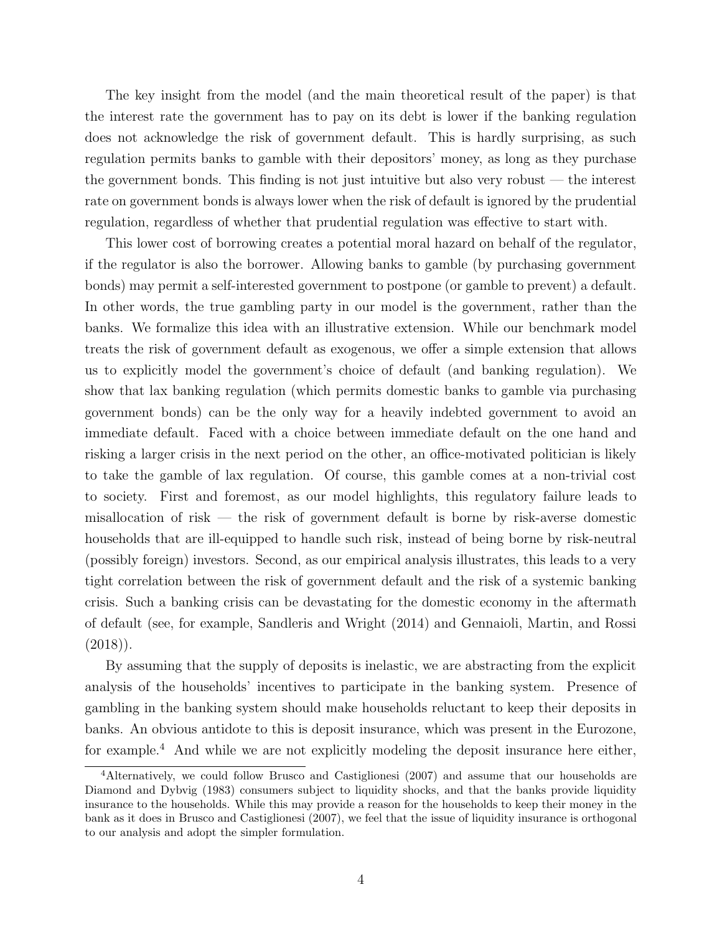The key insight from the model (and the main theoretical result of the paper) is that the interest rate the government has to pay on its debt is lower if the banking regulation does not acknowledge the risk of government default. This is hardly surprising, as such regulation permits banks to gamble with their depositors' money, as long as they purchase the government bonds. This finding is not just intuitive but also very robust — the interest rate on government bonds is always lower when the risk of default is ignored by the prudential regulation, regardless of whether that prudential regulation was effective to start with.

This lower cost of borrowing creates a potential moral hazard on behalf of the regulator, if the regulator is also the borrower. Allowing banks to gamble (by purchasing government bonds) may permit a self-interested government to postpone (or gamble to prevent) a default. In other words, the true gambling party in our model is the government, rather than the banks. We formalize this idea with an illustrative extension. While our benchmark model treats the risk of government default as exogenous, we offer a simple extension that allows us to explicitly model the government's choice of default (and banking regulation). We show that lax banking regulation (which permits domestic banks to gamble via purchasing government bonds) can be the only way for a heavily indebted government to avoid an immediate default. Faced with a choice between immediate default on the one hand and risking a larger crisis in the next period on the other, an office-motivated politician is likely to take the gamble of lax regulation. Of course, this gamble comes at a non-trivial cost to society. First and foremost, as our model highlights, this regulatory failure leads to misallocation of risk — the risk of government default is borne by risk-averse domestic households that are ill-equipped to handle such risk, instead of being borne by risk-neutral (possibly foreign) investors. Second, as our empirical analysis illustrates, this leads to a very tight correlation between the risk of government default and the risk of a systemic banking crisis. Such a banking crisis can be devastating for the domestic economy in the aftermath of default (see, for example, Sandleris and Wright (2014) and Gennaioli, Martin, and Rossi  $(2018)$ .

By assuming that the supply of deposits is inelastic, we are abstracting from the explicit analysis of the households' incentives to participate in the banking system. Presence of gambling in the banking system should make households reluctant to keep their deposits in banks. An obvious antidote to this is deposit insurance, which was present in the Eurozone, for example.<sup>4</sup> And while we are not explicitly modeling the deposit insurance here either,

<sup>4</sup>Alternatively, we could follow Brusco and Castiglionesi (2007) and assume that our households are Diamond and Dybvig (1983) consumers subject to liquidity shocks, and that the banks provide liquidity insurance to the households. While this may provide a reason for the households to keep their money in the bank as it does in Brusco and Castiglionesi (2007), we feel that the issue of liquidity insurance is orthogonal to our analysis and adopt the simpler formulation.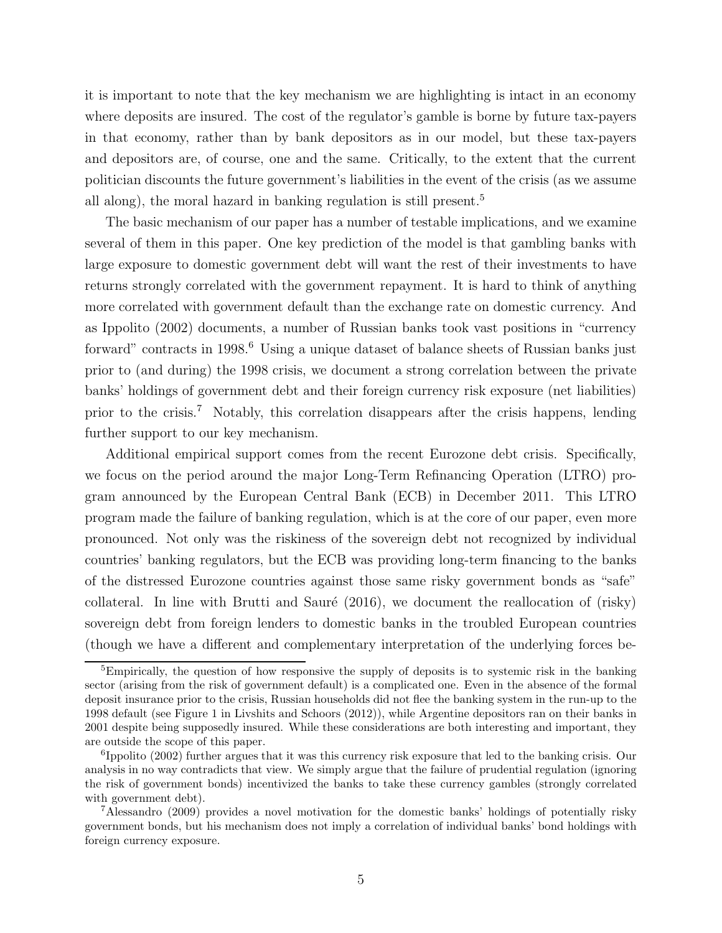it is important to note that the key mechanism we are highlighting is intact in an economy where deposits are insured. The cost of the regulator's gamble is borne by future tax-payers in that economy, rather than by bank depositors as in our model, but these tax-payers and depositors are, of course, one and the same. Critically, to the extent that the current politician discounts the future government's liabilities in the event of the crisis (as we assume all along), the moral hazard in banking regulation is still present.<sup>5</sup>

The basic mechanism of our paper has a number of testable implications, and we examine several of them in this paper. One key prediction of the model is that gambling banks with large exposure to domestic government debt will want the rest of their investments to have returns strongly correlated with the government repayment. It is hard to think of anything more correlated with government default than the exchange rate on domestic currency. And as Ippolito (2002) documents, a number of Russian banks took vast positions in "currency forward" contracts in 1998.<sup>6</sup> Using a unique dataset of balance sheets of Russian banks just prior to (and during) the 1998 crisis, we document a strong correlation between the private banks' holdings of government debt and their foreign currency risk exposure (net liabilities) prior to the crisis.<sup>7</sup> Notably, this correlation disappears after the crisis happens, lending further support to our key mechanism.

Additional empirical support comes from the recent Eurozone debt crisis. Specifically, we focus on the period around the major Long-Term Refinancing Operation (LTRO) program announced by the European Central Bank (ECB) in December 2011. This LTRO program made the failure of banking regulation, which is at the core of our paper, even more pronounced. Not only was the riskiness of the sovereign debt not recognized by individual countries' banking regulators, but the ECB was providing long-term financing to the banks of the distressed Eurozone countries against those same risky government bonds as "safe" collateral. In line with Brutti and Sauré  $(2016)$ , we document the reallocation of  $(risky)$ sovereign debt from foreign lenders to domestic banks in the troubled European countries (though we have a different and complementary interpretation of the underlying forces be-

 ${}^{5}$ Empirically, the question of how responsive the supply of deposits is to systemic risk in the banking sector (arising from the risk of government default) is a complicated one. Even in the absence of the formal deposit insurance prior to the crisis, Russian households did not flee the banking system in the run-up to the 1998 default (see Figure 1 in Livshits and Schoors (2012)), while Argentine depositors ran on their banks in 2001 despite being supposedly insured. While these considerations are both interesting and important, they are outside the scope of this paper.

<sup>&</sup>lt;sup>6</sup>Ippolito (2002) further argues that it was this currency risk exposure that led to the banking crisis. Our analysis in no way contradicts that view. We simply argue that the failure of prudential regulation (ignoring the risk of government bonds) incentivized the banks to take these currency gambles (strongly correlated with government debt).

<sup>7</sup>Alessandro (2009) provides a novel motivation for the domestic banks' holdings of potentially risky government bonds, but his mechanism does not imply a correlation of individual banks' bond holdings with foreign currency exposure.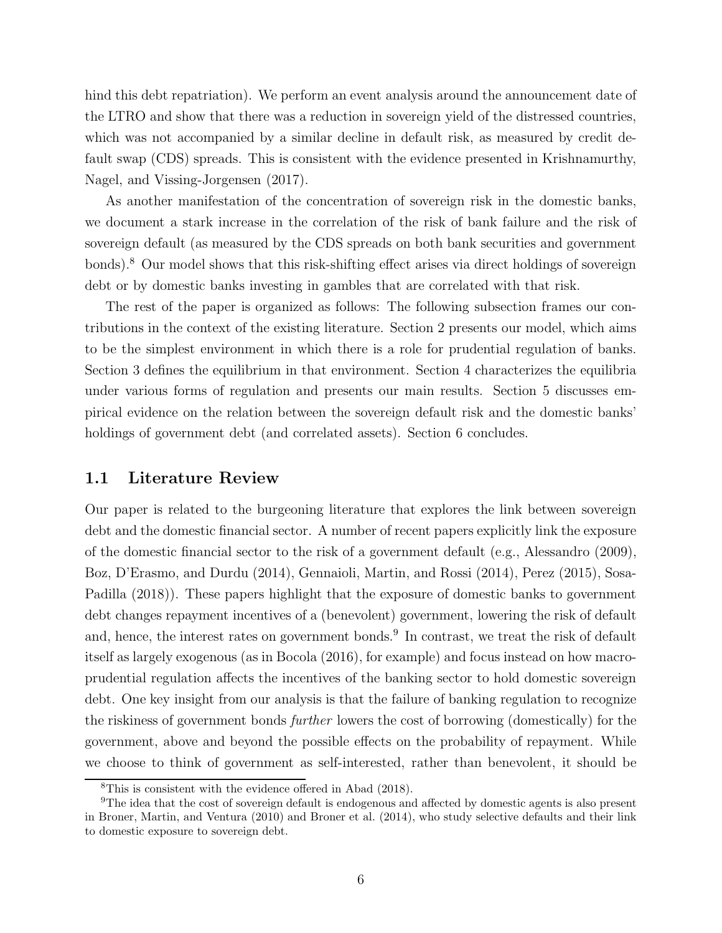hind this debt repatriation). We perform an event analysis around the announcement date of the LTRO and show that there was a reduction in sovereign yield of the distressed countries, which was not accompanied by a similar decline in default risk, as measured by credit default swap (CDS) spreads. This is consistent with the evidence presented in Krishnamurthy, Nagel, and Vissing-Jorgensen (2017).

As another manifestation of the concentration of sovereign risk in the domestic banks, we document a stark increase in the correlation of the risk of bank failure and the risk of sovereign default (as measured by the CDS spreads on both bank securities and government bonds).<sup>8</sup> Our model shows that this risk-shifting effect arises via direct holdings of sovereign debt or by domestic banks investing in gambles that are correlated with that risk.

The rest of the paper is organized as follows: The following subsection frames our contributions in the context of the existing literature. Section 2 presents our model, which aims to be the simplest environment in which there is a role for prudential regulation of banks. Section 3 defines the equilibrium in that environment. Section 4 characterizes the equilibria under various forms of regulation and presents our main results. Section 5 discusses empirical evidence on the relation between the sovereign default risk and the domestic banks' holdings of government debt (and correlated assets). Section 6 concludes.

# 1.1 Literature Review

Our paper is related to the burgeoning literature that explores the link between sovereign debt and the domestic financial sector. A number of recent papers explicitly link the exposure of the domestic financial sector to the risk of a government default (e.g., Alessandro (2009), Boz, D'Erasmo, and Durdu (2014), Gennaioli, Martin, and Rossi (2014), Perez (2015), Sosa-Padilla (2018)). These papers highlight that the exposure of domestic banks to government debt changes repayment incentives of a (benevolent) government, lowering the risk of default and, hence, the interest rates on government bonds.<sup>9</sup> In contrast, we treat the risk of default itself as largely exogenous (as in Bocola (2016), for example) and focus instead on how macroprudential regulation affects the incentives of the banking sector to hold domestic sovereign debt. One key insight from our analysis is that the failure of banking regulation to recognize the riskiness of government bonds further lowers the cost of borrowing (domestically) for the government, above and beyond the possible effects on the probability of repayment. While we choose to think of government as self-interested, rather than benevolent, it should be

<sup>8</sup>This is consistent with the evidence offered in Abad (2018).

<sup>9</sup>The idea that the cost of sovereign default is endogenous and affected by domestic agents is also present in Broner, Martin, and Ventura (2010) and Broner et al. (2014), who study selective defaults and their link to domestic exposure to sovereign debt.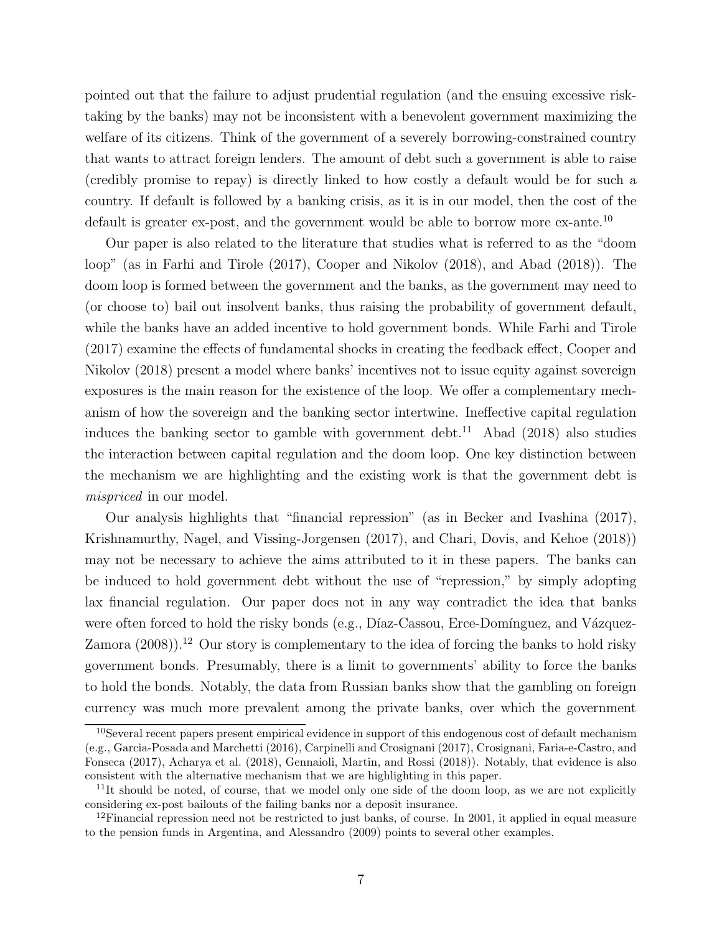pointed out that the failure to adjust prudential regulation (and the ensuing excessive risktaking by the banks) may not be inconsistent with a benevolent government maximizing the welfare of its citizens. Think of the government of a severely borrowing-constrained country that wants to attract foreign lenders. The amount of debt such a government is able to raise (credibly promise to repay) is directly linked to how costly a default would be for such a country. If default is followed by a banking crisis, as it is in our model, then the cost of the default is greater ex-post, and the government would be able to borrow more ex-ante.<sup>10</sup>

Our paper is also related to the literature that studies what is referred to as the "doom loop" (as in Farhi and Tirole (2017), Cooper and Nikolov (2018), and Abad (2018)). The doom loop is formed between the government and the banks, as the government may need to (or choose to) bail out insolvent banks, thus raising the probability of government default, while the banks have an added incentive to hold government bonds. While Farhi and Tirole (2017) examine the effects of fundamental shocks in creating the feedback effect, Cooper and Nikolov (2018) present a model where banks' incentives not to issue equity against sovereign exposures is the main reason for the existence of the loop. We offer a complementary mechanism of how the sovereign and the banking sector intertwine. Ineffective capital regulation induces the banking sector to gamble with government debt.<sup>11</sup> Abad  $(2018)$  also studies the interaction between capital regulation and the doom loop. One key distinction between the mechanism we are highlighting and the existing work is that the government debt is mispriced in our model.

Our analysis highlights that "financial repression" (as in Becker and Ivashina (2017), Krishnamurthy, Nagel, and Vissing-Jorgensen (2017), and Chari, Dovis, and Kehoe (2018)) may not be necessary to achieve the aims attributed to it in these papers. The banks can be induced to hold government debt without the use of "repression," by simply adopting lax financial regulation. Our paper does not in any way contradict the idea that banks were often forced to hold the risky bonds (e.g., Díaz-Cassou, Erce-Domínguez, and Vázquez-Zamora  $(2008)$ <sup>12</sup> Our story is complementary to the idea of forcing the banks to hold risky government bonds. Presumably, there is a limit to governments' ability to force the banks to hold the bonds. Notably, the data from Russian banks show that the gambling on foreign currency was much more prevalent among the private banks, over which the government

 $10$ Several recent papers present empirical evidence in support of this endogenous cost of default mechanism (e.g., Garcia-Posada and Marchetti (2016), Carpinelli and Crosignani (2017), Crosignani, Faria-e-Castro, and Fonseca (2017), Acharya et al. (2018), Gennaioli, Martin, and Rossi (2018)). Notably, that evidence is also consistent with the alternative mechanism that we are highlighting in this paper.

 $11$ It should be noted, of course, that we model only one side of the doom loop, as we are not explicitly considering ex-post bailouts of the failing banks nor a deposit insurance.

 $12$ Financial repression need not be restricted to just banks, of course. In 2001, it applied in equal measure to the pension funds in Argentina, and Alessandro (2009) points to several other examples.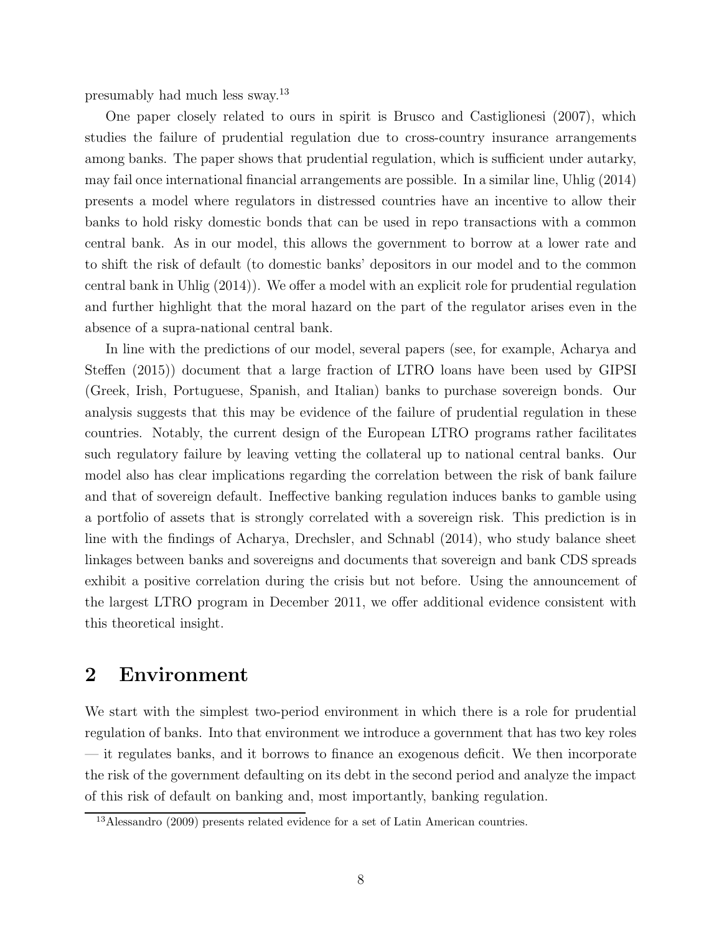presumably had much less sway.<sup>13</sup>

One paper closely related to ours in spirit is Brusco and Castiglionesi (2007), which studies the failure of prudential regulation due to cross-country insurance arrangements among banks. The paper shows that prudential regulation, which is sufficient under autarky, may fail once international financial arrangements are possible. In a similar line, Uhlig (2014) presents a model where regulators in distressed countries have an incentive to allow their banks to hold risky domestic bonds that can be used in repo transactions with a common central bank. As in our model, this allows the government to borrow at a lower rate and to shift the risk of default (to domestic banks' depositors in our model and to the common central bank in Uhlig (2014)). We offer a model with an explicit role for prudential regulation and further highlight that the moral hazard on the part of the regulator arises even in the absence of a supra-national central bank.

In line with the predictions of our model, several papers (see, for example, Acharya and Steffen (2015)) document that a large fraction of LTRO loans have been used by GIPSI (Greek, Irish, Portuguese, Spanish, and Italian) banks to purchase sovereign bonds. Our analysis suggests that this may be evidence of the failure of prudential regulation in these countries. Notably, the current design of the European LTRO programs rather facilitates such regulatory failure by leaving vetting the collateral up to national central banks. Our model also has clear implications regarding the correlation between the risk of bank failure and that of sovereign default. Ineffective banking regulation induces banks to gamble using a portfolio of assets that is strongly correlated with a sovereign risk. This prediction is in line with the findings of Acharya, Drechsler, and Schnabl (2014), who study balance sheet linkages between banks and sovereigns and documents that sovereign and bank CDS spreads exhibit a positive correlation during the crisis but not before. Using the announcement of the largest LTRO program in December 2011, we offer additional evidence consistent with this theoretical insight.

# 2 Environment

We start with the simplest two-period environment in which there is a role for prudential regulation of banks. Into that environment we introduce a government that has two key roles — it regulates banks, and it borrows to finance an exogenous deficit. We then incorporate the risk of the government defaulting on its debt in the second period and analyze the impact of this risk of default on banking and, most importantly, banking regulation.

<sup>13</sup>Alessandro (2009) presents related evidence for a set of Latin American countries.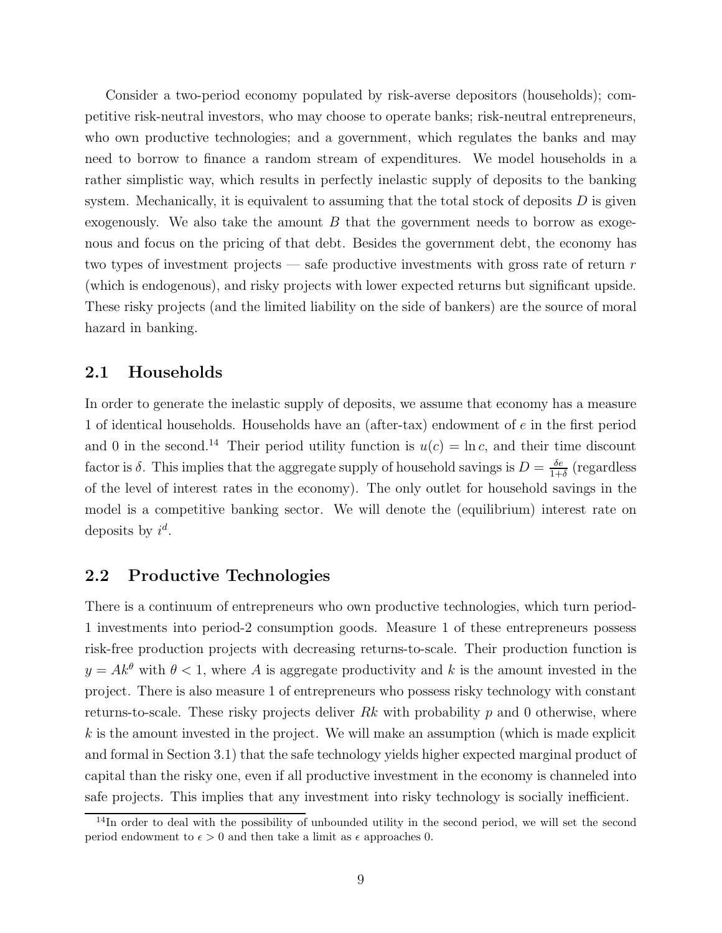Consider a two-period economy populated by risk-averse depositors (households); competitive risk-neutral investors, who may choose to operate banks; risk-neutral entrepreneurs, who own productive technologies; and a government, which regulates the banks and may need to borrow to finance a random stream of expenditures. We model households in a rather simplistic way, which results in perfectly inelastic supply of deposits to the banking system. Mechanically, it is equivalent to assuming that the total stock of deposits  $D$  is given exogenously. We also take the amount  $B$  that the government needs to borrow as exogenous and focus on the pricing of that debt. Besides the government debt, the economy has two types of investment projects — safe productive investments with gross rate of return  $r$ (which is endogenous), and risky projects with lower expected returns but significant upside. These risky projects (and the limited liability on the side of bankers) are the source of moral hazard in banking.

# 2.1 Households

In order to generate the inelastic supply of deposits, we assume that economy has a measure 1 of identical households. Households have an (after-tax) endowment of e in the first period and 0 in the second.<sup>14</sup> Their period utility function is  $u(c) = \ln c$ , and their time discount factor is  $\delta$ . This implies that the aggregate supply of household savings is  $D = \frac{\delta e}{1+\epsilon}$  $\frac{\delta e}{1+\delta}$  (regardless of the level of interest rates in the economy). The only outlet for household savings in the model is a competitive banking sector. We will denote the (equilibrium) interest rate on deposits by  $i^d$ .

# 2.2 Productive Technologies

There is a continuum of entrepreneurs who own productive technologies, which turn period-1 investments into period-2 consumption goods. Measure 1 of these entrepreneurs possess risk-free production projects with decreasing returns-to-scale. Their production function is  $y = Ak^{\theta}$  with  $\theta < 1$ , where A is aggregate productivity and k is the amount invested in the project. There is also measure 1 of entrepreneurs who possess risky technology with constant returns-to-scale. These risky projects deliver  $Rk$  with probability  $p$  and 0 otherwise, where  $k$  is the amount invested in the project. We will make an assumption (which is made explicit and formal in Section 3.1) that the safe technology yields higher expected marginal product of capital than the risky one, even if all productive investment in the economy is channeled into safe projects. This implies that any investment into risky technology is socially inefficient.

<sup>&</sup>lt;sup>14</sup>In order to deal with the possibility of unbounded utility in the second period, we will set the second period endowment to  $\epsilon > 0$  and then take a limit as  $\epsilon$  approaches 0.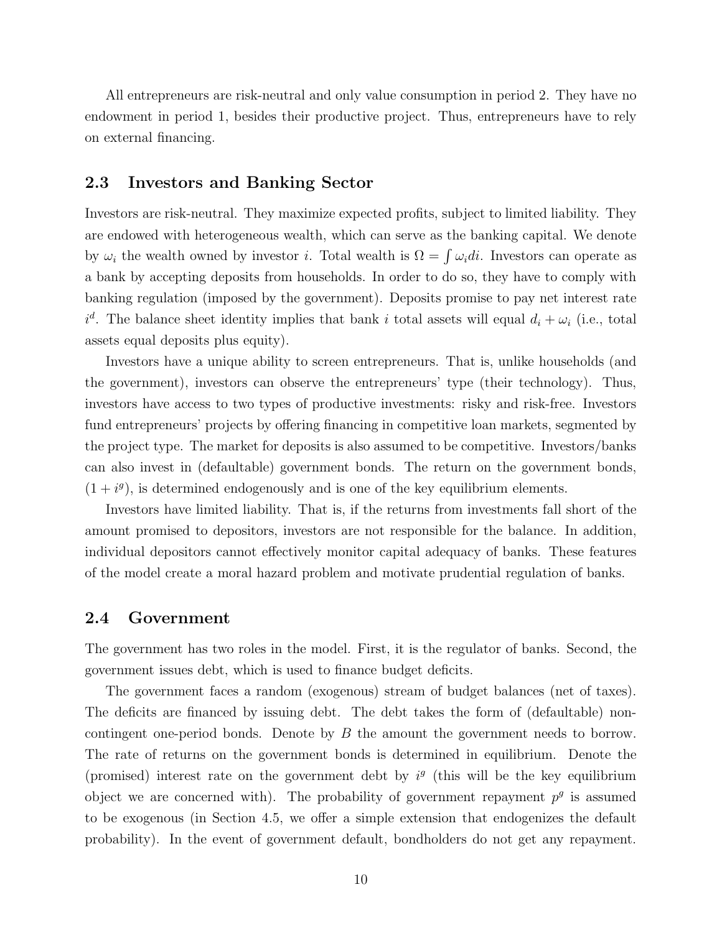All entrepreneurs are risk-neutral and only value consumption in period 2. They have no endowment in period 1, besides their productive project. Thus, entrepreneurs have to rely on external financing.

# 2.3 Investors and Banking Sector

Investors are risk-neutral. They maximize expected profits, subject to limited liability. They are endowed with heterogeneous wealth, which can serve as the banking capital. We denote by  $\omega_i$  the wealth owned by investor i. Total wealth is  $\Omega = \int \omega_i di$ . Investors can operate as a bank by accepting deposits from households. In order to do so, they have to comply with banking regulation (imposed by the government). Deposits promise to pay net interest rate  $i^d$ . The balance sheet identity implies that bank i total assets will equal  $d_i + \omega_i$  (i.e., total assets equal deposits plus equity).

Investors have a unique ability to screen entrepreneurs. That is, unlike households (and the government), investors can observe the entrepreneurs' type (their technology). Thus, investors have access to two types of productive investments: risky and risk-free. Investors fund entrepreneurs' projects by offering financing in competitive loan markets, segmented by the project type. The market for deposits is also assumed to be competitive. Investors/banks can also invest in (defaultable) government bonds. The return on the government bonds,  $(1 + i<sup>g</sup>)$ , is determined endogenously and is one of the key equilibrium elements.

Investors have limited liability. That is, if the returns from investments fall short of the amount promised to depositors, investors are not responsible for the balance. In addition, individual depositors cannot effectively monitor capital adequacy of banks. These features of the model create a moral hazard problem and motivate prudential regulation of banks.

# 2.4 Government

The government has two roles in the model. First, it is the regulator of banks. Second, the government issues debt, which is used to finance budget deficits.

The government faces a random (exogenous) stream of budget balances (net of taxes). The deficits are financed by issuing debt. The debt takes the form of (defaultable) noncontingent one-period bonds. Denote by B the amount the government needs to borrow. The rate of returns on the government bonds is determined in equilibrium. Denote the (promised) interest rate on the government debt by  $i<sup>g</sup>$  (this will be the key equilibrium object we are concerned with). The probability of government repayment  $p<sup>g</sup>$  is assumed to be exogenous (in Section 4.5, we offer a simple extension that endogenizes the default probability). In the event of government default, bondholders do not get any repayment.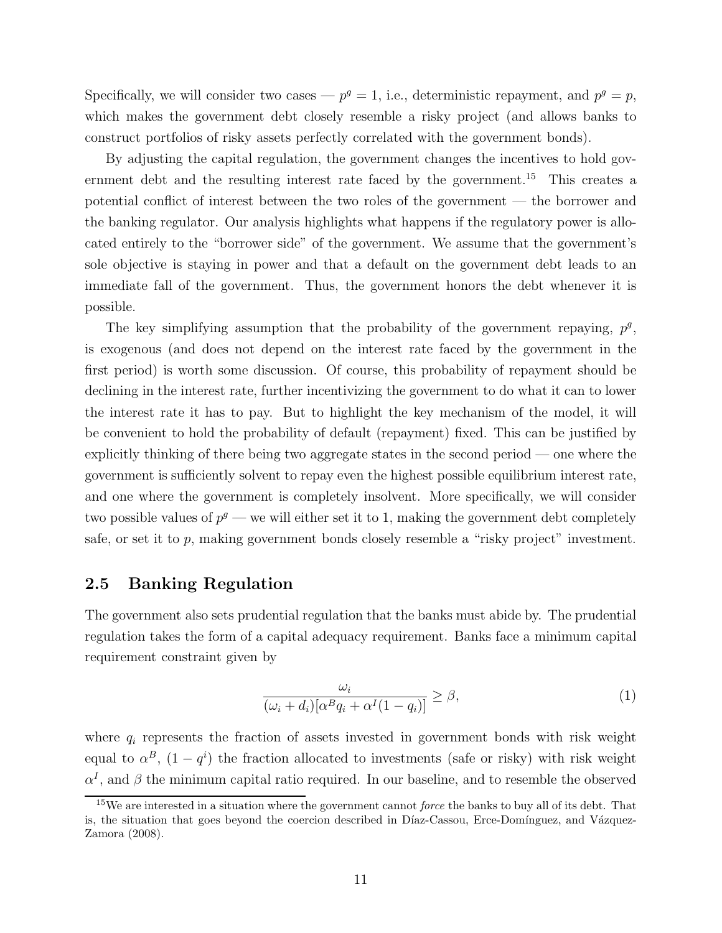Specifically, we will consider two cases  $-p^g = 1$ , i.e., deterministic repayment, and  $p^g = p$ , which makes the government debt closely resemble a risky project (and allows banks to construct portfolios of risky assets perfectly correlated with the government bonds).

By adjusting the capital regulation, the government changes the incentives to hold government debt and the resulting interest rate faced by the government.<sup>15</sup> This creates a potential conflict of interest between the two roles of the government — the borrower and the banking regulator. Our analysis highlights what happens if the regulatory power is allocated entirely to the "borrower side" of the government. We assume that the government's sole objective is staying in power and that a default on the government debt leads to an immediate fall of the government. Thus, the government honors the debt whenever it is possible.

The key simplifying assumption that the probability of the government repaying,  $p^g$ , is exogenous (and does not depend on the interest rate faced by the government in the first period) is worth some discussion. Of course, this probability of repayment should be declining in the interest rate, further incentivizing the government to do what it can to lower the interest rate it has to pay. But to highlight the key mechanism of the model, it will be convenient to hold the probability of default (repayment) fixed. This can be justified by explicitly thinking of there being two aggregate states in the second period — one where the government is sufficiently solvent to repay even the highest possible equilibrium interest rate, and one where the government is completely insolvent. More specifically, we will consider two possible values of  $p<sup>g</sup>$  — we will either set it to 1, making the government debt completely safe, or set it to  $p$ , making government bonds closely resemble a "risky project" investment.

# 2.5 Banking Regulation

The government also sets prudential regulation that the banks must abide by. The prudential regulation takes the form of a capital adequacy requirement. Banks face a minimum capital requirement constraint given by

$$
\frac{\omega_i}{(\omega_i + d_i)[\alpha^B q_i + \alpha^I (1 - q_i)]} \ge \beta,
$$
\n(1)

where  $q_i$  represents the fraction of assets invested in government bonds with risk weight equal to  $\alpha^B$ ,  $(1-q^i)$  the fraction allocated to investments (safe or risky) with risk weight  $\alpha^I$ , and  $\beta$  the minimum capital ratio required. In our baseline, and to resemble the observed

 $15$ We are interested in a situation where the government cannot *force* the banks to buy all of its debt. That is, the situation that goes beyond the coercion described in Díaz-Cassou, Erce-Domínguez, and Vázquez-Zamora (2008).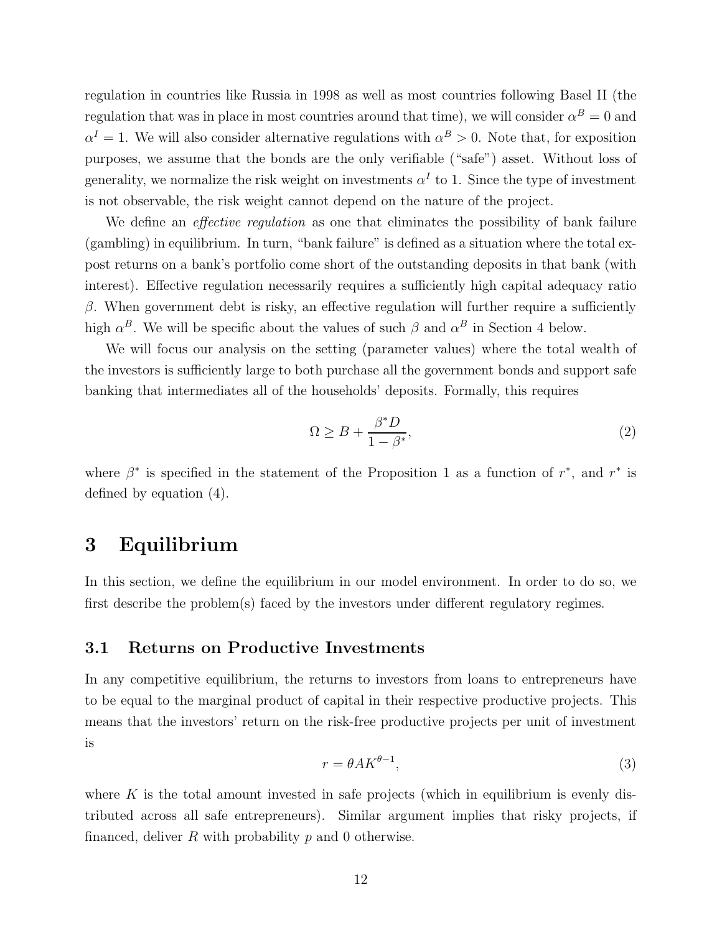regulation in countries like Russia in 1998 as well as most countries following Basel II (the regulation that was in place in most countries around that time), we will consider  $\alpha^B = 0$  and  $\alpha^I = 1$ . We will also consider alternative regulations with  $\alpha^B > 0$ . Note that, for exposition purposes, we assume that the bonds are the only verifiable ("safe") asset. Without loss of generality, we normalize the risk weight on investments  $\alpha^I$  to 1. Since the type of investment is not observable, the risk weight cannot depend on the nature of the project.

We define an *effective regulation* as one that eliminates the possibility of bank failure (gambling) in equilibrium. In turn, "bank failure" is defined as a situation where the total expost returns on a bank's portfolio come short of the outstanding deposits in that bank (with interest). Effective regulation necessarily requires a sufficiently high capital adequacy ratio  $β$ . When government debt is risky, an effective regulation will further require a sufficiently high  $\alpha^B$ . We will be specific about the values of such  $\beta$  and  $\alpha^B$  in Section 4 below.

We will focus our analysis on the setting (parameter values) where the total wealth of the investors is sufficiently large to both purchase all the government bonds and support safe banking that intermediates all of the households' deposits. Formally, this requires

$$
\Omega \ge B + \frac{\beta^* D}{1 - \beta^*},\tag{2}
$$

where  $\beta^*$  is specified in the statement of the Proposition 1 as a function of  $r^*$ , and  $r^*$  is defined by equation (4).

# 3 Equilibrium

In this section, we define the equilibrium in our model environment. In order to do so, we first describe the problem(s) faced by the investors under different regulatory regimes.

# 3.1 Returns on Productive Investments

In any competitive equilibrium, the returns to investors from loans to entrepreneurs have to be equal to the marginal product of capital in their respective productive projects. This means that the investors' return on the risk-free productive projects per unit of investment is

$$
r = \theta A K^{\theta - 1},\tag{3}
$$

where  $K$  is the total amount invested in safe projects (which in equilibrium is evenly distributed across all safe entrepreneurs). Similar argument implies that risky projects, if financed, deliver  $R$  with probability  $p$  and 0 otherwise.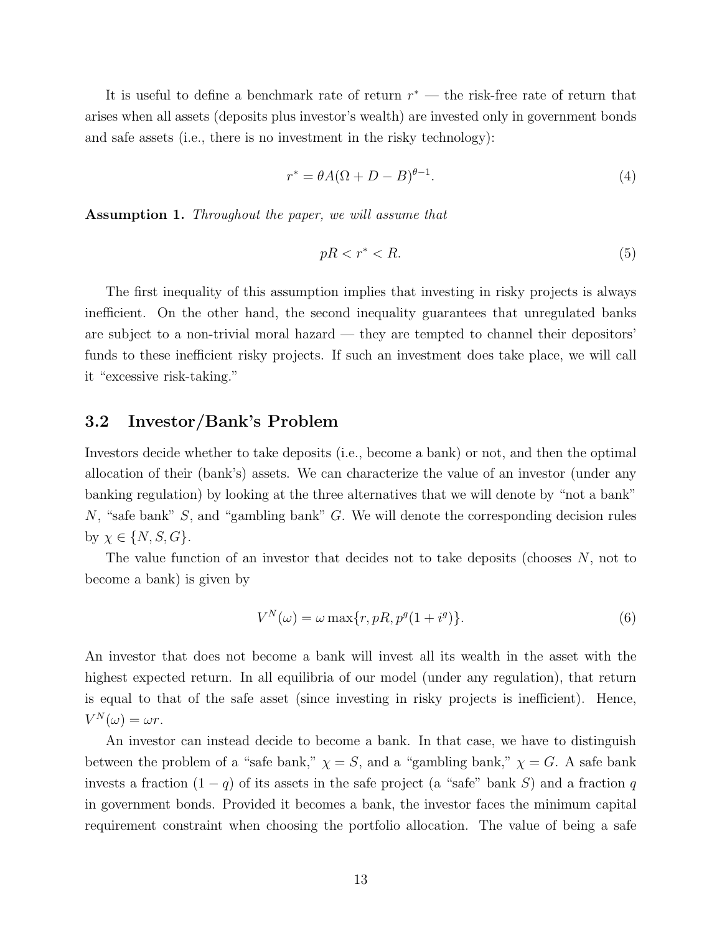It is useful to define a benchmark rate of return  $r^*$  — the risk-free rate of return that arises when all assets (deposits plus investor's wealth) are invested only in government bonds and safe assets (i.e., there is no investment in the risky technology):

$$
r^* = \theta A(\Omega + D - B)^{\theta - 1}.
$$
\n<sup>(4)</sup>

Assumption 1. Throughout the paper, we will assume that

$$
pR < r^* < R. \tag{5}
$$

The first inequality of this assumption implies that investing in risky projects is always inefficient. On the other hand, the second inequality guarantees that unregulated banks are subject to a non-trivial moral hazard — they are tempted to channel their depositors' funds to these inefficient risky projects. If such an investment does take place, we will call it "excessive risk-taking."

## 3.2 Investor/Bank's Problem

Investors decide whether to take deposits (i.e., become a bank) or not, and then the optimal allocation of their (bank's) assets. We can characterize the value of an investor (under any banking regulation) by looking at the three alternatives that we will denote by "not a bank" N, "safe bank" S, and "gambling bank" G. We will denote the corresponding decision rules by  $\chi \in \{N, S, G\}.$ 

The value function of an investor that decides not to take deposits (chooses N, not to become a bank) is given by

$$
V^N(\omega) = \omega \max\{r, pR, p^g(1 + i^g)\}.
$$
\n<sup>(6)</sup>

An investor that does not become a bank will invest all its wealth in the asset with the highest expected return. In all equilibria of our model (under any regulation), that return is equal to that of the safe asset (since investing in risky projects is inefficient). Hence,  $V^N(\omega) = \omega r.$ 

An investor can instead decide to become a bank. In that case, we have to distinguish between the problem of a "safe bank,"  $\chi = S$ , and a "gambling bank,"  $\chi = G$ . A safe bank invests a fraction  $(1 - q)$  of its assets in the safe project (a "safe" bank S) and a fraction q in government bonds. Provided it becomes a bank, the investor faces the minimum capital requirement constraint when choosing the portfolio allocation. The value of being a safe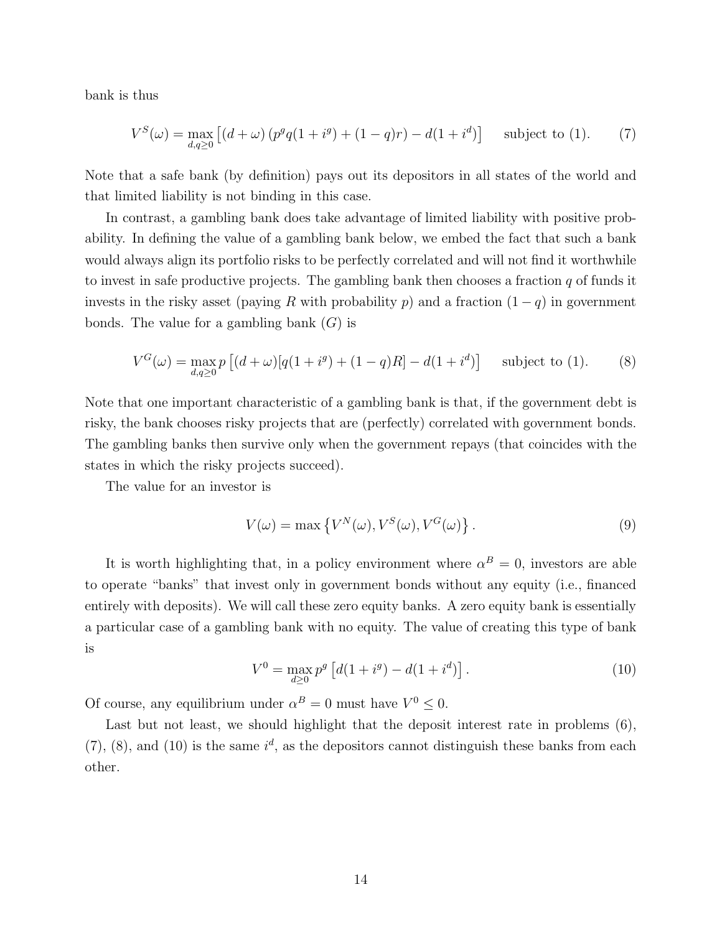bank is thus

$$
V^{S}(\omega) = \max_{d,q \ge 0} \left[ (d+\omega) \left( p^{g} q(1+i^{g}) + (1-q)r \right) - d(1+i^{d}) \right] \quad \text{subject to (1).} \tag{7}
$$

Note that a safe bank (by definition) pays out its depositors in all states of the world and that limited liability is not binding in this case.

In contrast, a gambling bank does take advantage of limited liability with positive probability. In defining the value of a gambling bank below, we embed the fact that such a bank would always align its portfolio risks to be perfectly correlated and will not find it worthwhile to invest in safe productive projects. The gambling bank then chooses a fraction  $q$  of funds it invests in the risky asset (paying R with probability p) and a fraction  $(1 - q)$  in government bonds. The value for a gambling bank  $(G)$  is

$$
V^G(\omega) = \max_{d,q \ge 0} p \left[ (d+\omega)[q(1+i^g) + (1-q)R] - d(1+i^d) \right] \text{ subject to (1).}
$$
 (8)

Note that one important characteristic of a gambling bank is that, if the government debt is risky, the bank chooses risky projects that are (perfectly) correlated with government bonds. The gambling banks then survive only when the government repays (that coincides with the states in which the risky projects succeed).

The value for an investor is

$$
V(\omega) = \max \left\{ V^N(\omega), V^S(\omega), V^G(\omega) \right\}.
$$
\n(9)

It is worth highlighting that, in a policy environment where  $\alpha^B = 0$ , investors are able to operate "banks" that invest only in government bonds without any equity (i.e., financed entirely with deposits). We will call these zero equity banks. A zero equity bank is essentially a particular case of a gambling bank with no equity. The value of creating this type of bank is

$$
V^{0} = \max_{d \geq 0} p^{g} \left[ d(1 + i^{g}) - d(1 + i^{d}) \right].
$$
 (10)

Of course, any equilibrium under  $\alpha^B = 0$  must have  $V^0 \leq 0$ .

Last but not least, we should highlight that the deposit interest rate in problems  $(6)$ ,  $(7)$ ,  $(8)$ , and  $(10)$  is the same  $i<sup>d</sup>$ , as the depositors cannot distinguish these banks from each other.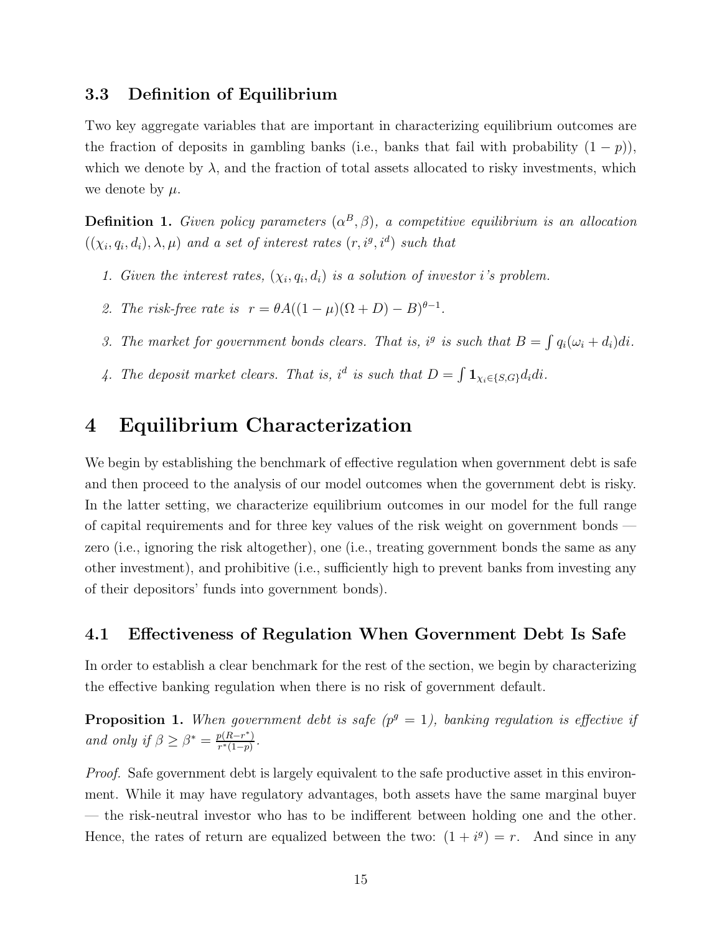# 3.3 Definition of Equilibrium

Two key aggregate variables that are important in characterizing equilibrium outcomes are the fraction of deposits in gambling banks (i.e., banks that fail with probability  $(1 - p)$ ), which we denote by  $\lambda$ , and the fraction of total assets allocated to risky investments, which we denote by  $\mu$ .

**Definition 1.** Given policy parameters  $(\alpha^B, \beta)$ , a competitive equilibrium is an allocation  $((\chi_i, q_i, d_i), \lambda, \mu)$  and a set of interest rates  $(r, i^g, i^d)$  such that

- 1. Given the interest rates,  $(\chi_i, q_i, d_i)$  is a solution of investor i's problem.
- 2. The risk-free rate is  $r = \theta A((1 \mu)(\Omega + D) B)^{\theta 1}$ .
- 3. The market for government bonds clears. That is, i<sup>g</sup> is such that  $B = \int q_i(\omega_i + d_i)di$ .
- 4. The deposit market clears. That is, i<sup>d</sup> is such that  $D = \int \mathbf{1}_{\chi_i \in \{S, G\}} d_i di$ .

# 4 Equilibrium Characterization

We begin by establishing the benchmark of effective regulation when government debt is safe and then proceed to the analysis of our model outcomes when the government debt is risky. In the latter setting, we characterize equilibrium outcomes in our model for the full range of capital requirements and for three key values of the risk weight on government bonds zero (i.e., ignoring the risk altogether), one (i.e., treating government bonds the same as any other investment), and prohibitive (i.e., sufficiently high to prevent banks from investing any of their depositors' funds into government bonds).

# 4.1 Effectiveness of Regulation When Government Debt Is Safe

In order to establish a clear benchmark for the rest of the section, we begin by characterizing the effective banking regulation when there is no risk of government default.

**Proposition 1.** When government debt is safe  $(p^g = 1)$ , banking regulation is effective if and only if  $\beta \geq \beta^* = \frac{p(R-r^*)}{r^*(1-n)}$  $\frac{p(R-r)}{r^*(1-p)}$ .

Proof. Safe government debt is largely equivalent to the safe productive asset in this environment. While it may have regulatory advantages, both assets have the same marginal buyer — the risk-neutral investor who has to be indifferent between holding one and the other. Hence, the rates of return are equalized between the two:  $(1 + i^g) = r$ . And since in any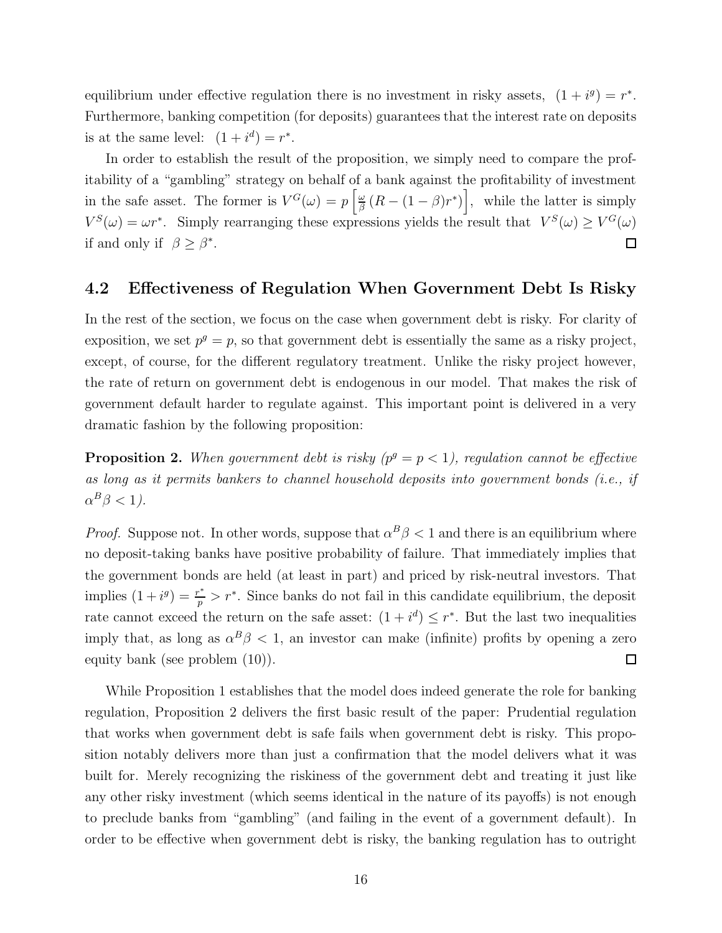equilibrium under effective regulation there is no investment in risky assets,  $(1 + i^g) = r^*$ . Furthermore, banking competition (for deposits) guarantees that the interest rate on deposits is at the same level:  $(1 + i^d) = r^*$ .

In order to establish the result of the proposition, we simply need to compare the profitability of a "gambling" strategy on behalf of a bank against the profitability of investment in the safe asset. The former is  $V^G(\omega) = p \left[ \frac{\omega}{\beta} \right]$  $\frac{\omega}{\beta} (R - (1 - \beta)r^*)$ , while the latter is simply  $V^S(\omega) = \omega r^*$ . Simply rearranging these expressions yields the result that  $V^S(\omega) \geq V^G(\omega)$ if and only if  $\beta \geq \beta^*$ .  $\Box$ 

# 4.2 Effectiveness of Regulation When Government Debt Is Risky

In the rest of the section, we focus on the case when government debt is risky. For clarity of exposition, we set  $p^g = p$ , so that government debt is essentially the same as a risky project, except, of course, for the different regulatory treatment. Unlike the risky project however, the rate of return on government debt is endogenous in our model. That makes the risk of government default harder to regulate against. This important point is delivered in a very dramatic fashion by the following proposition:

**Proposition 2.** When government debt is risky  $(p^g = p < 1)$ , regulation cannot be effective as long as it permits bankers to channel household deposits into government bonds (i.e., if  $\alpha^B \beta < 1$ ).

*Proof.* Suppose not. In other words, suppose that  $\alpha^B \beta < 1$  and there is an equilibrium where no deposit-taking banks have positive probability of failure. That immediately implies that the government bonds are held (at least in part) and priced by risk-neutral investors. That implies  $(1+i^g) = \frac{r^*}{n}$  $\frac{p^*}{p} > r^*$ . Since banks do not fail in this candidate equilibrium, the deposit rate cannot exceed the return on the safe asset:  $(1 + i^d) \leq r^*$ . But the last two inequalities imply that, as long as  $\alpha^B \beta < 1$ , an investor can make (infinite) profits by opening a zero equity bank (see problem (10)).  $\Box$ 

While Proposition 1 establishes that the model does indeed generate the role for banking regulation, Proposition 2 delivers the first basic result of the paper: Prudential regulation that works when government debt is safe fails when government debt is risky. This proposition notably delivers more than just a confirmation that the model delivers what it was built for. Merely recognizing the riskiness of the government debt and treating it just like any other risky investment (which seems identical in the nature of its payoffs) is not enough to preclude banks from "gambling" (and failing in the event of a government default). In order to be effective when government debt is risky, the banking regulation has to outright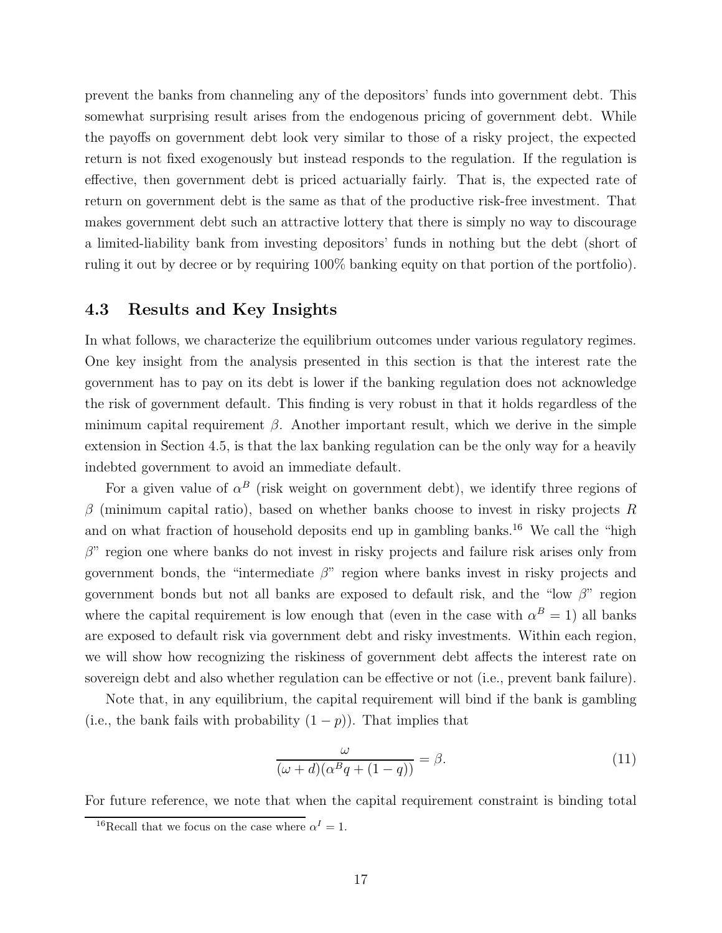prevent the banks from channeling any of the depositors' funds into government debt. This somewhat surprising result arises from the endogenous pricing of government debt. While the payoffs on government debt look very similar to those of a risky project, the expected return is not fixed exogenously but instead responds to the regulation. If the regulation is effective, then government debt is priced actuarially fairly. That is, the expected rate of return on government debt is the same as that of the productive risk-free investment. That makes government debt such an attractive lottery that there is simply no way to discourage a limited-liability bank from investing depositors' funds in nothing but the debt (short of ruling it out by decree or by requiring 100% banking equity on that portion of the portfolio).

# 4.3 Results and Key Insights

In what follows, we characterize the equilibrium outcomes under various regulatory regimes. One key insight from the analysis presented in this section is that the interest rate the government has to pay on its debt is lower if the banking regulation does not acknowledge the risk of government default. This finding is very robust in that it holds regardless of the minimum capital requirement  $\beta$ . Another important result, which we derive in the simple extension in Section 4.5, is that the lax banking regulation can be the only way for a heavily indebted government to avoid an immediate default.

For a given value of  $\alpha^B$  (risk weight on government debt), we identify three regions of  $\beta$  (minimum capital ratio), based on whether banks choose to invest in risky projects R and on what fraction of household deposits end up in gambling banks.<sup>16</sup> We call the "high  $\beta$ " region one where banks do not invest in risky projects and failure risk arises only from government bonds, the "intermediate  $\beta$ " region where banks invest in risky projects and government bonds but not all banks are exposed to default risk, and the "low  $\beta$ " region where the capital requirement is low enough that (even in the case with  $\alpha^B = 1$ ) all banks are exposed to default risk via government debt and risky investments. Within each region, we will show how recognizing the riskiness of government debt affects the interest rate on sovereign debt and also whether regulation can be effective or not (i.e., prevent bank failure).

Note that, in any equilibrium, the capital requirement will bind if the bank is gambling (i.e., the bank fails with probability  $(1 - p)$ ). That implies that

$$
\frac{\omega}{(\omega+d)(\alpha^B q + (1-q))} = \beta.
$$
\n(11)

For future reference, we note that when the capital requirement constraint is binding total

<sup>&</sup>lt;sup>16</sup>Recall that we focus on the case where  $\alpha^I = 1$ .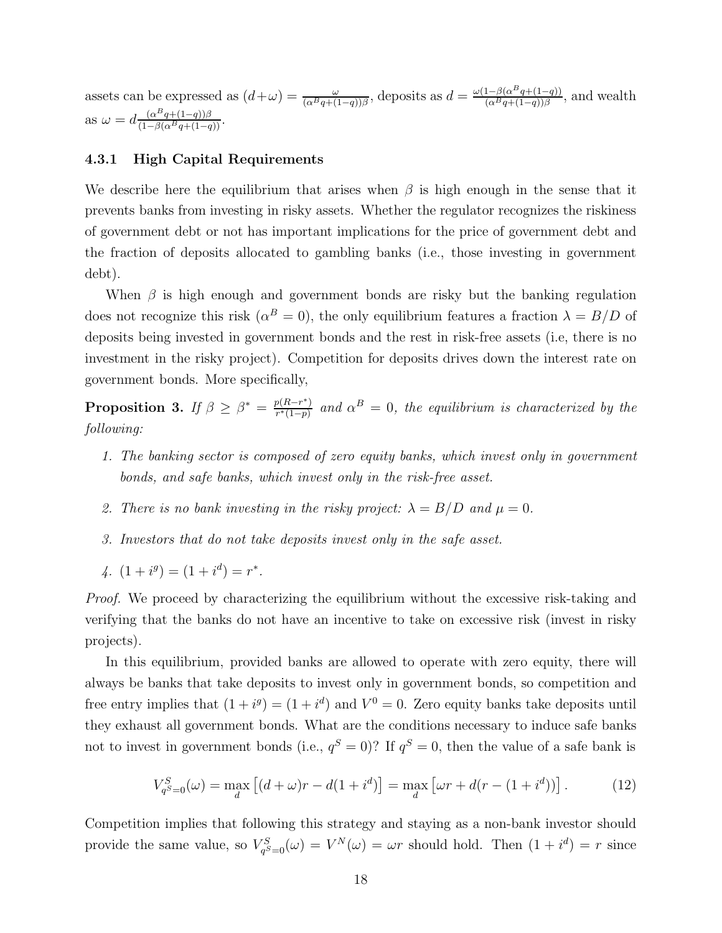assets can be expressed as  $(d+\omega) = \frac{\omega}{(\alpha^B q + (1-q))\beta}$ , deposits as  $d = \frac{\omega(1-\beta(\alpha^B q + (1-q))}{(\alpha^B q + (1-q))\beta)}$  $\frac{1-\beta(\alpha^2q+(1-q))}{(\alpha^Bq+(1-q))\beta}$ , and wealth as  $\omega = d \frac{(\alpha^B q + (1-q))\beta}{(1-\beta(\alpha^B q + (1-q))}.$ 

### 4.3.1 High Capital Requirements

We describe here the equilibrium that arises when  $\beta$  is high enough in the sense that it prevents banks from investing in risky assets. Whether the regulator recognizes the riskiness of government debt or not has important implications for the price of government debt and the fraction of deposits allocated to gambling banks (i.e., those investing in government debt).

When  $\beta$  is high enough and government bonds are risky but the banking regulation does not recognize this risk ( $\alpha^B = 0$ ), the only equilibrium features a fraction  $\lambda = B/D$  of deposits being invested in government bonds and the rest in risk-free assets (i.e, there is no investment in the risky project). Competition for deposits drives down the interest rate on government bonds. More specifically,

**Proposition 3.** If  $\beta \geq \beta^* = \frac{p(R-r^*)}{r^*(1-n)}$  $\frac{p(R-r^*)}{r^*(1-p)}$  and  $\alpha^B=0$ , the equilibrium is characterized by the following:

- 1. The banking sector is composed of zero equity banks, which invest only in government bonds, and safe banks, which invest only in the risk-free asset.
- 2. There is no bank investing in the risky project:  $\lambda = B/D$  and  $\mu = 0$ .
- 3. Investors that do not take deposits invest only in the safe asset.
- 4.  $(1+i^g) = (1+i^d) = r^*$ .

Proof. We proceed by characterizing the equilibrium without the excessive risk-taking and verifying that the banks do not have an incentive to take on excessive risk (invest in risky projects).

In this equilibrium, provided banks are allowed to operate with zero equity, there will always be banks that take deposits to invest only in government bonds, so competition and free entry implies that  $(1 + i^g) = (1 + i^d)$  and  $V^0 = 0$ . Zero equity banks take deposits until they exhaust all government bonds. What are the conditions necessary to induce safe banks not to invest in government bonds (i.e.,  $q^S = 0$ )? If  $q^S = 0$ , then the value of a safe bank is

$$
V_{q^{S}=0}^{S}(\omega) = \max_{d} \left[ (d + \omega)r - d(1 + i^{d}) \right] = \max_{d} \left[ \omega r + d(r - (1 + i^{d})) \right].
$$
 (12)

Competition implies that following this strategy and staying as a non-bank investor should provide the same value, so  $V_{ab}^S$  $q_{g=0}^{rS}(\omega) = V^N(\omega) = \omega r$  should hold. Then  $(1 + i^d) = r$  since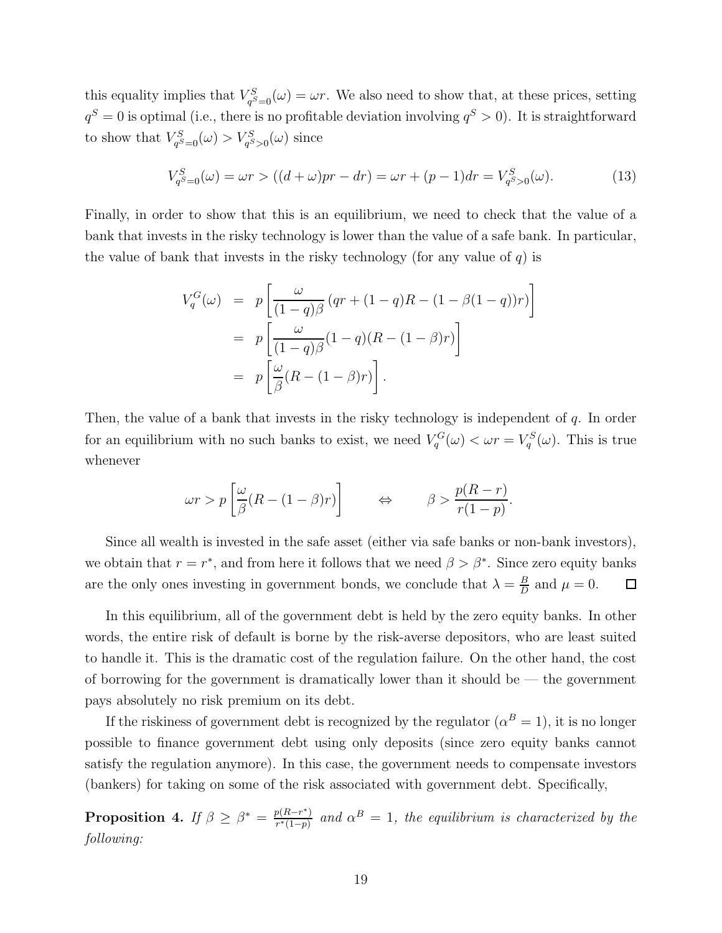this equality implies that  $V_{a}^{S}$  $q_{g=0}^{S}(\omega) = \omega r$ . We also need to show that, at these prices, setting  $q^S = 0$  is optimal (i.e., there is no profitable deviation involving  $q^S > 0$ ). It is straightforward to show that  $V_{aS}^S$  $q_{S=0}^{rS}(\omega) > V_{q_{S}>0}^{S}(\omega)$  since

$$
V_{q^S=0}^S(\omega) = \omega r > ((d+\omega)pr - dr) = \omega r + (p-1)dr = V_{q^S>0}^S(\omega).
$$
 (13)

Finally, in order to show that this is an equilibrium, we need to check that the value of a bank that invests in the risky technology is lower than the value of a safe bank. In particular, the value of bank that invests in the risky technology (for any value of  $q$ ) is

$$
V_q^G(\omega) = p \left[ \frac{\omega}{(1-q)\beta} (qr + (1-q)R - (1-\beta(1-q))r) \right]
$$
  
=  $p \left[ \frac{\omega}{(1-q)\beta} (1-q)(R - (1-\beta)r) \right]$   
=  $p \left[ \frac{\omega}{\beta} (R - (1-\beta)r) \right].$ 

Then, the value of a bank that invests in the risky technology is independent of q. In order for an equilibrium with no such banks to exist, we need  $V_q^G(\omega) < \omega r = V_q^S(\omega)$ . This is true whenever

$$
\omega r > p \left[ \frac{\omega}{\beta} (R - (1 - \beta)r) \right] \qquad \Leftrightarrow \qquad \beta > \frac{p(R - r)}{r(1 - p)}.
$$

Since all wealth is invested in the safe asset (either via safe banks or non-bank investors), we obtain that  $r = r^*$ , and from here it follows that we need  $\beta > \beta^*$ . Since zero equity banks are the only ones investing in government bonds, we conclude that  $\lambda = \frac{B}{D}$  $\frac{B}{D}$  and  $\mu = 0$ .  $\Box$ 

In this equilibrium, all of the government debt is held by the zero equity banks. In other words, the entire risk of default is borne by the risk-averse depositors, who are least suited to handle it. This is the dramatic cost of the regulation failure. On the other hand, the cost of borrowing for the government is dramatically lower than it should be  $-$  the government pays absolutely no risk premium on its debt.

If the riskiness of government debt is recognized by the regulator  $(\alpha^B = 1)$ , it is no longer possible to finance government debt using only deposits (since zero equity banks cannot satisfy the regulation anymore). In this case, the government needs to compensate investors (bankers) for taking on some of the risk associated with government debt. Specifically,

Proposition 4. If  $\beta \geq \beta^* = \frac{p(R-r^*)}{r^*(1-n)}$  $\frac{p(R-r^{*})}{r^{*}(1-p)}$  and  $\alpha^{B} = 1$ , the equilibrium is characterized by the following: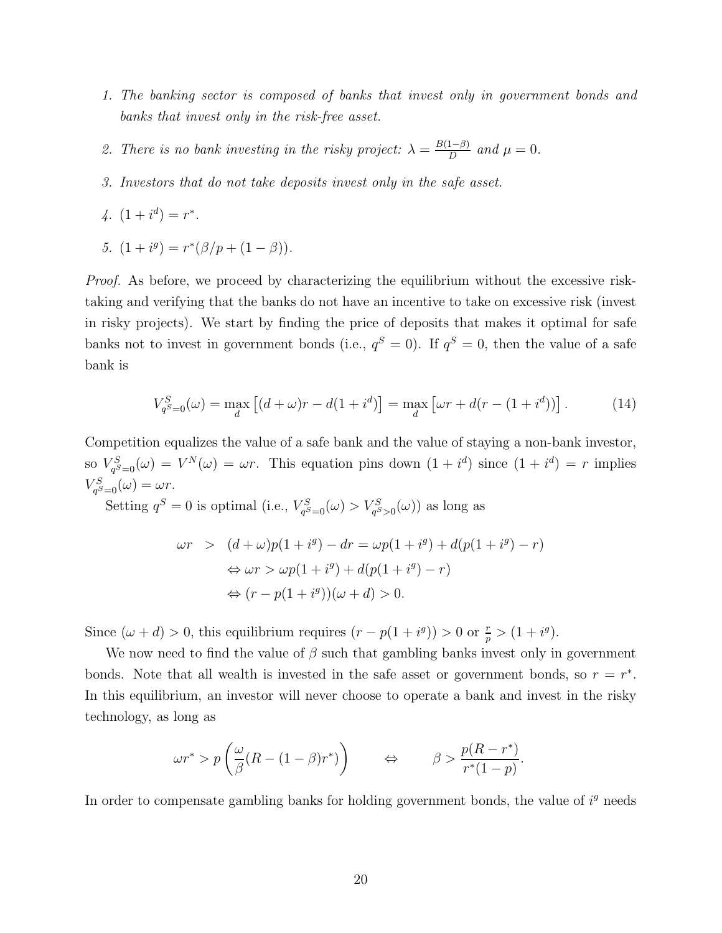- 1. The banking sector is composed of banks that invest only in government bonds and banks that invest only in the risk-free asset.
- 2. There is no bank investing in the risky project:  $\lambda = \frac{B(1-\beta)}{D}$  $\frac{1-pj}{D}$  and  $\mu = 0$ .
- 3. Investors that do not take deposits invest only in the safe asset.
- $4. (1 + i^d) = r^*$ .
- 5.  $(1 + i^g) = r^*(\beta/p + (1 \beta)).$

Proof. As before, we proceed by characterizing the equilibrium without the excessive risktaking and verifying that the banks do not have an incentive to take on excessive risk (invest in risky projects). We start by finding the price of deposits that makes it optimal for safe banks not to invest in government bonds (i.e.,  $q^S = 0$ ). If  $q^S = 0$ , then the value of a safe bank is

$$
V_{q^{S}=0}^{S}(\omega) = \max_{d} \left[ (d + \omega)r - d(1 + i^{d}) \right] = \max_{d} \left[ \omega r + d(r - (1 + i^{d})) \right]. \tag{14}
$$

Competition equalizes the value of a safe bank and the value of staying a non-bank investor, so  $V_{a^S}^S$  $q_{g=0}^{S}(\omega) = V^N(\omega) = \omega r$ . This equation pins down  $(1 + i^d)$  since  $(1 + i^d) = r$  implies  $V_{q^S=0}^S(\omega) = \omega r.$ 

Setting  $q^S = 0$  is optimal (i.e.,  $V_{ab}^S$  $V_{q^S=0}^S(\omega) > V_{q^S>0}^S(\omega)$  as long as

$$
\omega r > (d + \omega)p(1 + i^{g}) - dr = \omega p(1 + i^{g}) + d(p(1 + i^{g}) - r)
$$
  
\n
$$
\Leftrightarrow \omega r > \omega p(1 + i^{g}) + d(p(1 + i^{g}) - r)
$$
  
\n
$$
\Leftrightarrow (r - p(1 + i^{g}))(\omega + d) > 0.
$$

Since  $(\omega + d) > 0$ , this equilibrium requires  $(r - p(1 + i^g)) > 0$  or  $\frac{r}{p} > (1 + i^g)$ .

We now need to find the value of  $\beta$  such that gambling banks invest only in government bonds. Note that all wealth is invested in the safe asset or government bonds, so  $r = r^*$ . In this equilibrium, an investor will never choose to operate a bank and invest in the risky technology, as long as

$$
\omega r^* > p\left(\frac{\omega}{\beta}(R - (1 - \beta)r^*)\right) \qquad \Leftrightarrow \qquad \beta > \frac{p(R - r^*)}{r^*(1 - p)}.
$$

In order to compensate gambling banks for holding government bonds, the value of  $i<sup>g</sup>$  needs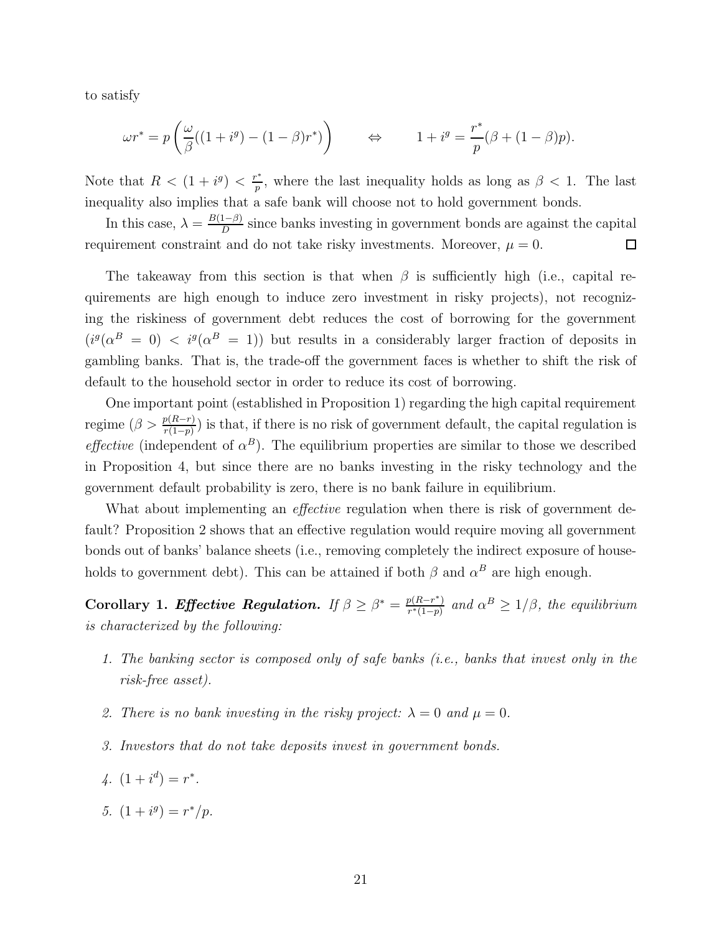to satisfy

$$
\omega r^* = p \left( \frac{\omega}{\beta} ((1 + i^g) - (1 - \beta) r^*) \right) \qquad \Leftrightarrow \qquad 1 + i^g = \frac{r^*}{p} (\beta + (1 - \beta) p).
$$

Note that  $R < (1 + i^g) < \frac{r^*}{n}$  $\frac{p^*}{p}$ , where the last inequality holds as long as  $\beta < 1$ . The last inequality also implies that a safe bank will choose not to hold government bonds.

In this case,  $\lambda = \frac{B(1-\beta)}{D}$  $\frac{1-p}{D}$  since banks investing in government bonds are against the capital requirement constraint and do not take risky investments. Moreover,  $\mu = 0$ .  $\Box$ 

The takeaway from this section is that when  $\beta$  is sufficiently high (i.e., capital requirements are high enough to induce zero investment in risky projects), not recognizing the riskiness of government debt reduces the cost of borrowing for the government  $(i^g(\alpha^B = 0)$  <  $i^g(\alpha^B = 1)$  but results in a considerably larger fraction of deposits in gambling banks. That is, the trade-off the government faces is whether to shift the risk of default to the household sector in order to reduce its cost of borrowing.

One important point (established in Proposition 1) regarding the high capital requirement regime  $(\beta > \frac{p(R-r)}{r(1-p)})$  is that, if there is no risk of government default, the capital regulation is *effective* (independent of  $\alpha^B$ ). The equilibrium properties are similar to those we described in Proposition 4, but since there are no banks investing in the risky technology and the government default probability is zero, there is no bank failure in equilibrium.

What about implementing an *effective* regulation when there is risk of government default? Proposition 2 shows that an effective regulation would require moving all government bonds out of banks' balance sheets (i.e., removing completely the indirect exposure of households to government debt). This can be attained if both  $\beta$  and  $\alpha^B$  are high enough.

Corollary 1. Effective Regulation. If  $\beta \geq \beta^* = \frac{p(R-r^*)}{r^*(1-n)}$  $\frac{p(R-r^*)}{r^*(1-p)}$  and  $\alpha^B \geq 1/\beta$ , the equilibrium is characterized by the following:

- 1. The banking sector is composed only of safe banks (i.e., banks that invest only in the risk-free asset).
- 2. There is no bank investing in the risky project:  $\lambda = 0$  and  $\mu = 0$ .
- 3. Investors that do not take deposits invest in government bonds.
- $4. (1 + i^d) = r^*$ .
- 5.  $(1+i^g) = r^*/p$ .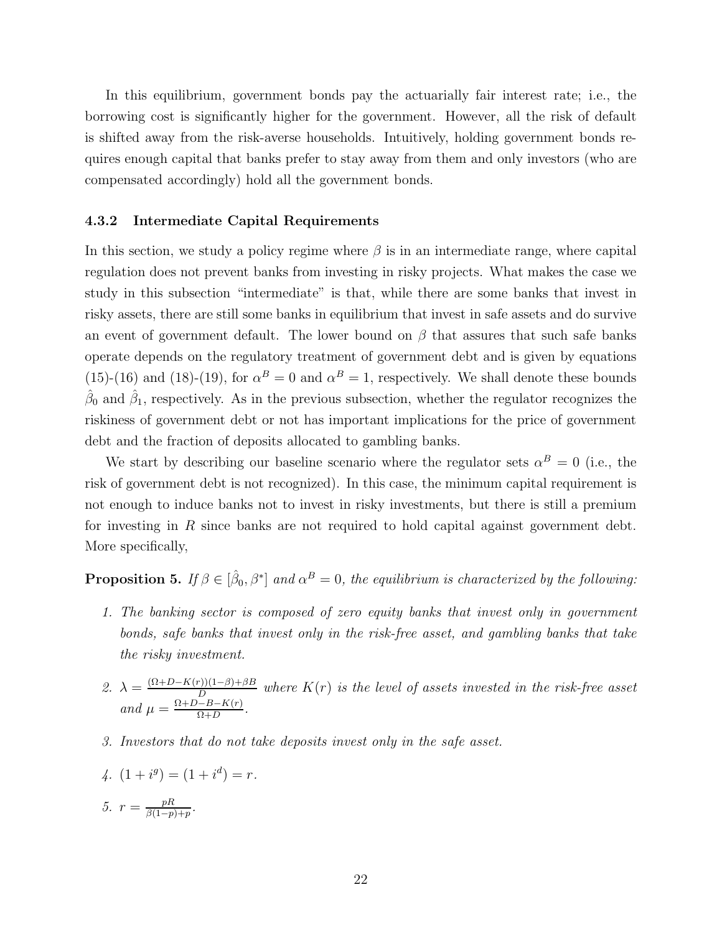In this equilibrium, government bonds pay the actuarially fair interest rate; i.e., the borrowing cost is significantly higher for the government. However, all the risk of default is shifted away from the risk-averse households. Intuitively, holding government bonds requires enough capital that banks prefer to stay away from them and only investors (who are compensated accordingly) hold all the government bonds.

### 4.3.2 Intermediate Capital Requirements

In this section, we study a policy regime where  $\beta$  is in an intermediate range, where capital regulation does not prevent banks from investing in risky projects. What makes the case we study in this subsection "intermediate" is that, while there are some banks that invest in risky assets, there are still some banks in equilibrium that invest in safe assets and do survive an event of government default. The lower bound on  $\beta$  that assures that such safe banks operate depends on the regulatory treatment of government debt and is given by equations (15)-(16) and (18)-(19), for  $\alpha^B = 0$  and  $\alpha^B = 1$ , respectively. We shall denote these bounds  $\hat{\beta}_0$  and  $\hat{\beta}_1$ , respectively. As in the previous subsection, whether the regulator recognizes the riskiness of government debt or not has important implications for the price of government debt and the fraction of deposits allocated to gambling banks.

We start by describing our baseline scenario where the regulator sets  $\alpha^B = 0$  (i.e., the risk of government debt is not recognized). In this case, the minimum capital requirement is not enough to induce banks not to invest in risky investments, but there is still a premium for investing in  $R$  since banks are not required to hold capital against government debt. More specifically,

# **Proposition 5.** If  $\beta \in [\hat{\beta}_0, \beta^*]$  and  $\alpha^B = 0$ , the equilibrium is characterized by the following:

- 1. The banking sector is composed of zero equity banks that invest only in government bonds, safe banks that invest only in the risk-free asset, and gambling banks that take the risky investment.
- 2.  $\lambda = \frac{(\Omega + D K(r))(1-\beta) + \beta B}{D}$  $\frac{D(11-p)+p}{D}$  where  $K(r)$  is the level of assets invested in the risk-free asset and  $\mu = \frac{\Omega + D - B - K(r)}{\Omega + D}$  $\frac{(-B - K(r)}{\Omega + D}$
- 3. Investors that do not take deposits invest only in the safe asset.

4. 
$$
(1 + i^g) = (1 + i^d) = r.
$$
  
5.  $r = \frac{pR}{\beta(1-p)+p}.$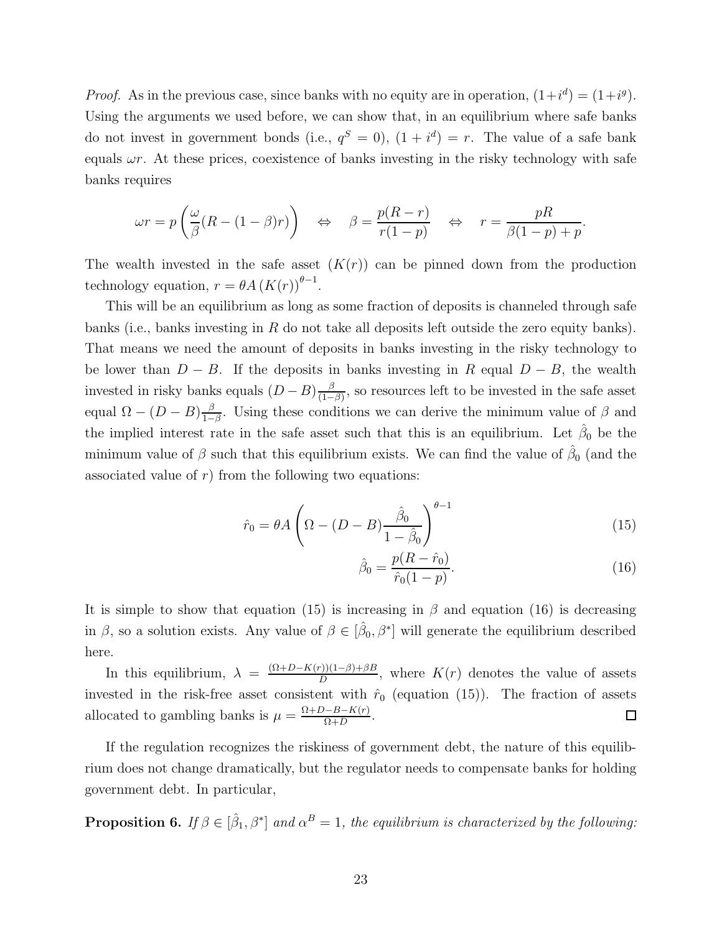*Proof.* As in the previous case, since banks with no equity are in operation,  $(1+i^d) = (1+i^g)$ . Using the arguments we used before, we can show that, in an equilibrium where safe banks do not invest in government bonds (i.e.,  $q^S = 0$ ),  $(1 + i^d) = r$ . The value of a safe bank equals  $\omega r$ . At these prices, coexistence of banks investing in the risky technology with safe banks requires

$$
\omega r = p \left( \frac{\omega}{\beta} (R - (1 - \beta)r) \right) \quad \Leftrightarrow \quad \beta = \frac{p(R - r)}{r(1 - p)} \quad \Leftrightarrow \quad r = \frac{pR}{\beta(1 - p) + p}.
$$

The wealth invested in the safe asset  $(K(r))$  can be pinned down from the production technology equation,  $r = \theta A (K(r))^{\theta - 1}$ .

This will be an equilibrium as long as some fraction of deposits is channeled through safe banks (i.e., banks investing in  $R$  do not take all deposits left outside the zero equity banks). That means we need the amount of deposits in banks investing in the risky technology to be lower than  $D - B$ . If the deposits in banks investing in R equal  $D - B$ , the wealth invested in risky banks equals  $(D - B) \frac{\beta}{(1 - \beta)^2}$  $\frac{\beta}{(1-\beta)}$ , so resources left to be invested in the safe asset equal  $\Omega - (D - B) \frac{\beta}{1 - \beta}$  $\frac{\beta}{1-\beta}$ . Using these conditions we can derive the minimum value of  $\beta$  and the implied interest rate in the safe asset such that this is an equilibrium. Let  $\hat{\beta}_0$  be the minimum value of  $\beta$  such that this equilibrium exists. We can find the value of  $\hat{\beta}_0$  (and the associated value of  $r$ ) from the following two equations:

$$
\hat{r}_0 = \theta A \left( \Omega - (D - B) \frac{\hat{\beta}_0}{1 - \hat{\beta}_0} \right)^{\theta - 1}
$$
\n(15)

$$
\hat{\beta}_0 = \frac{p(R - \hat{r}_0)}{\hat{r}_0(1 - p)}.
$$
\n(16)

It is simple to show that equation (15) is increasing in  $\beta$  and equation (16) is decreasing in  $\beta$ , so a solution exists. Any value of  $\beta \in [\hat{\beta}_0, \beta^*]$  will generate the equilibrium described here.

In this equilibrium,  $\lambda = \frac{(\Omega + D - K(r)) (1 - \beta) + \beta B}{D}$  $\frac{D(1-P)+pB}{D}$ , where  $K(r)$  denotes the value of assets invested in the risk-free asset consistent with  $\hat{r}_0$  (equation (15)). The fraction of assets allocated to gambling banks is  $\mu = \frac{\Omega + D - B - K(r)}{Q + D}$  $\frac{-B - K(r)}{\Omega + D}$  $\Box$ 

If the regulation recognizes the riskiness of government debt, the nature of this equilibrium does not change dramatically, but the regulator needs to compensate banks for holding government debt. In particular,

**Proposition 6.** If  $\beta \in [\hat{\beta}_1, \beta^*]$  and  $\alpha^B = 1$ , the equilibrium is characterized by the following: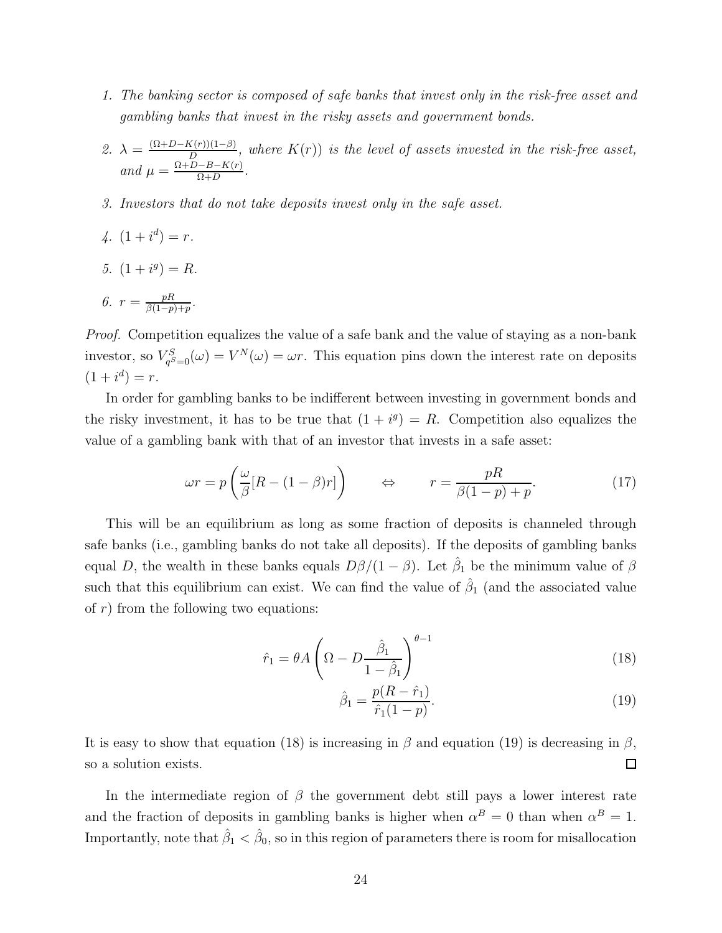- 1. The banking sector is composed of safe banks that invest only in the risk-free asset and gambling banks that invest in the risky assets and government bonds.
- 2.  $\lambda = \frac{(\Omega + D K(r))(1-\beta)}{D}$  $\frac{N(r)(1-\beta)}{D}$ , where  $K(r)$ ) is the level of assets invested in the risk-free asset, and  $\mu = \frac{\Omega + D - B - K(r)}{\Omega + D}$  $\frac{(-B - K(r)}{\Omega + D}$
- 3. Investors that do not take deposits invest only in the safe asset.
- $4. (1+i^d) = r.$
- 5.  $(1+i^g) = R$ .

6. 
$$
r = \frac{pR}{\beta(1-p)+p}
$$
.

Proof. Competition equalizes the value of a safe bank and the value of staying as a non-bank investor, so  $V_{a^S}^S$  $q_{qS=0}^{SS}(\omega) = V^N(\omega) = \omega r$ . This equation pins down the interest rate on deposits  $(1 + i^d) = r.$ 

In order for gambling banks to be indifferent between investing in government bonds and the risky investment, it has to be true that  $(1 + i<sup>g</sup>) = R$ . Competition also equalizes the value of a gambling bank with that of an investor that invests in a safe asset:

$$
\omega r = p \left( \frac{\omega}{\beta} [R - (1 - \beta)r] \right) \qquad \Leftrightarrow \qquad r = \frac{pR}{\beta(1 - p) + p}.
$$
 (17)

This will be an equilibrium as long as some fraction of deposits is channeled through safe banks (i.e., gambling banks do not take all deposits). If the deposits of gambling banks equal D, the wealth in these banks equals  $D\beta/(1-\beta)$ . Let  $\hat{\beta}_1$  be the minimum value of  $\beta$ such that this equilibrium can exist. We can find the value of  $\hat{\beta}_1$  (and the associated value of  $r$ ) from the following two equations:

$$
\hat{r}_1 = \theta A \left( \Omega - D \frac{\hat{\beta}_1}{1 - \hat{\beta}_1} \right)^{\theta - 1} \tag{18}
$$

$$
\hat{\beta}_1 = \frac{p(R - \hat{r}_1)}{\hat{r}_1(1 - p)}.
$$
\n(19)

It is easy to show that equation (18) is increasing in  $\beta$  and equation (19) is decreasing in  $\beta$ , so a solution exists.  $\Box$ 

In the intermediate region of  $\beta$  the government debt still pays a lower interest rate and the fraction of deposits in gambling banks is higher when  $\alpha^B = 0$  than when  $\alpha^B = 1$ . Importantly, note that  $\hat{\beta}_1 < \hat{\beta}_0$ , so in this region of parameters there is room for misallocation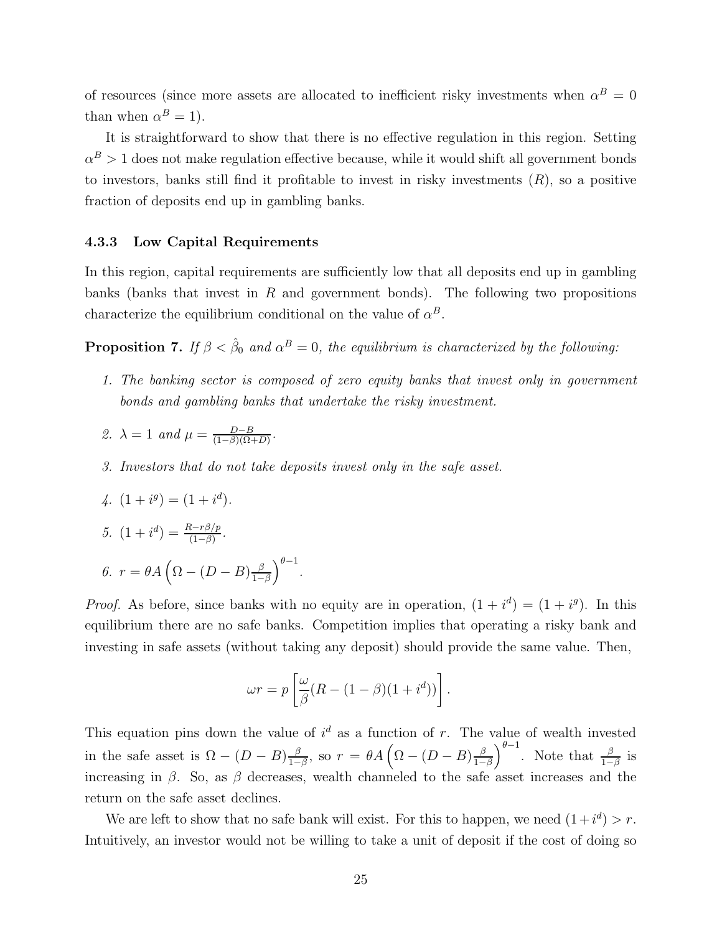of resources (since more assets are allocated to inefficient risky investments when  $\alpha^B = 0$ than when  $\alpha^B = 1$ ).

It is straightforward to show that there is no effective regulation in this region. Setting  $\alpha^B > 1$  does not make regulation effective because, while it would shift all government bonds to investors, banks still find it profitable to invest in risky investments  $(R)$ , so a positive fraction of deposits end up in gambling banks.

### 4.3.3 Low Capital Requirements

In this region, capital requirements are sufficiently low that all deposits end up in gambling banks (banks that invest in  $R$  and government bonds). The following two propositions characterize the equilibrium conditional on the value of  $\alpha^B$ .

**Proposition 7.** If  $\beta < \hat{\beta}_0$  and  $\alpha^B = 0$ , the equilibrium is characterized by the following:

- 1. The banking sector is composed of zero equity banks that invest only in government bonds and gambling banks that undertake the risky investment.
- 2.  $\lambda = 1$  and  $\mu = \frac{D-B}{(1-\beta)(\Omega)}$  $\frac{D-B}{(1-\beta)(\Omega+D)}$ .
- 3. Investors that do not take deposits invest only in the safe asset.

4. 
$$
(1 + i^g) = (1 + i^d)
$$
.

5.  $(1 + i^d) = \frac{R - r\beta/p}{(1 - \beta)}$ .

$$
\textit{6. } r = \theta A \left( \Omega - (D - B) \frac{\beta}{1 - \beta} \right)^{\theta - 1}.
$$

*Proof.* As before, since banks with no equity are in operation,  $(1 + i^d) = (1 + i^g)$ . In this equilibrium there are no safe banks. Competition implies that operating a risky bank and investing in safe assets (without taking any deposit) should provide the same value. Then,

$$
\omega r = p \left[ \frac{\omega}{\beta} (R - (1 - \beta)(1 + i^d)) \right].
$$

This equation pins down the value of  $i^d$  as a function of r. The value of wealth invested in the safe asset is  $\Omega - (D - B) \frac{\beta}{1 - \beta}$  $\frac{\beta}{1-\beta}$ , so  $r = \theta A \left( \Omega - (D - B) \frac{\beta}{1-\beta} \right)$  $\left(\frac{\beta}{1-\beta}\right)^{\theta-1}$ . Note that  $\frac{\beta}{1-\beta}$  is increasing in  $\beta$ . So, as  $\beta$  decreases, wealth channeled to the safe asset increases and the return on the safe asset declines.

We are left to show that no safe bank will exist. For this to happen, we need  $(1 + i^d) > r$ . Intuitively, an investor would not be willing to take a unit of deposit if the cost of doing so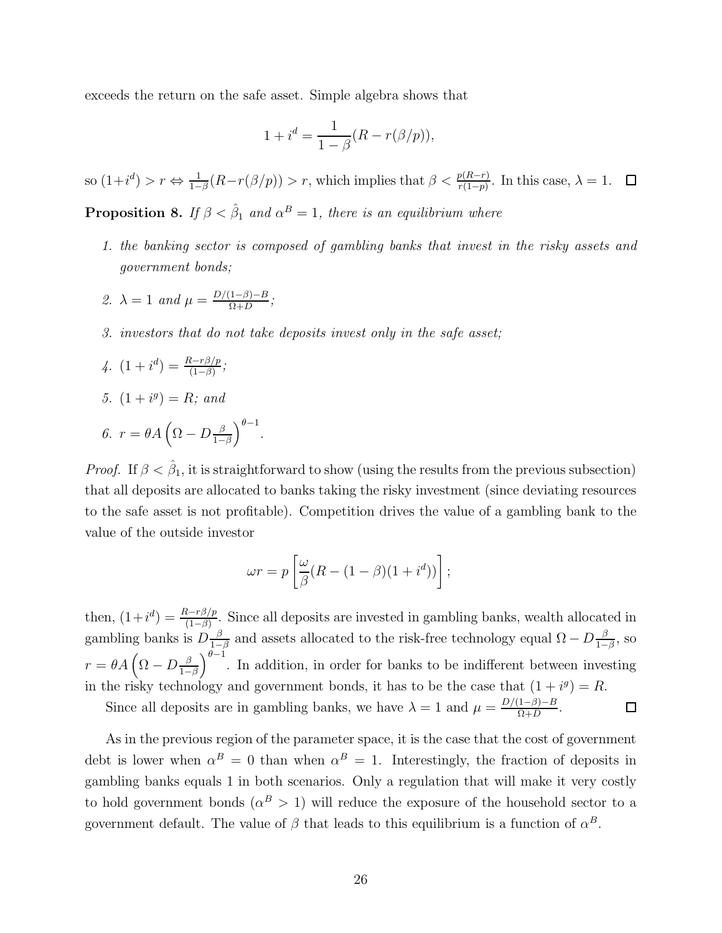exceeds the return on the safe asset. Simple algebra shows that

$$
1 + i^d = \frac{1}{1 - \beta}(R - r(\beta/p)),
$$

so  $(1+i^d) > r \Leftrightarrow \frac{1}{1-\beta}(R-r(\beta/p)) > r$ , which implies that  $\beta < \frac{p(R-r)}{r(1-p)}$ . In this case,  $\lambda = 1$ .

**Proposition 8.** If  $\beta < \hat{\beta}_1$  and  $\alpha^B = 1$ , there is an equilibrium where

- 1. the banking sector is composed of gambling banks that invest in the risky assets and government bonds;
- 2.  $\lambda = 1$  and  $\mu = \frac{D/(1-\beta)-B}{D+D}$  $\frac{1-p}{\Omega+D};$
- 3. investors that do not take deposits invest only in the safe asset;

4. 
$$
(1 + i^d) = \frac{R - r\beta/p}{(1 - \beta)};
$$

5. 
$$
(1+i^g) = R; \text{ and}
$$

$$
\theta. \ \ r = \theta A \left( \Omega - D \frac{\beta}{1 - \beta} \right)^{\theta - 1}.
$$

*Proof.* If  $\beta < \hat{\beta}_1$ , it is straightforward to show (using the results from the previous subsection) that all deposits are allocated to banks taking the risky investment (since deviating resources to the safe asset is not profitable). Competition drives the value of a gambling bank to the value of the outside investor

$$
\omega r = p \left[ \frac{\omega}{\beta} (R - (1 - \beta)(1 + i^d)) \right];
$$

then,  $(1+i^d) = \frac{R-r\beta}{(1-\beta)}$ . Since all deposits are invested in gambling banks, wealth allocated in gambling banks is  $D\frac{\beta}{1-\beta}$  $\frac{\beta}{1-\beta}$  and assets allocated to the risk-free technology equal  $\Omega - D \frac{\beta}{1-\beta}$  $\frac{\beta}{1-\beta}$ , so  $r = \theta A \left( \Omega - D \frac{\beta}{1 - \rho} \right)$  $\left(\frac{\beta}{1-\beta}\right)^{\theta-1}$ . In addition, in order for banks to be indifferent between investing in the risky technology and government bonds, it has to be the case that  $(1 + i<sup>g</sup>) = R$ .

Since all deposits are in gambling banks, we have  $\lambda = 1$  and  $\mu = \frac{D/(1-\beta)-B}{Q+D}$  $\frac{1-p}{\Omega+D}$ .  $\Box$ 

As in the previous region of the parameter space, it is the case that the cost of government debt is lower when  $\alpha^B = 0$  than when  $\alpha^B = 1$ . Interestingly, the fraction of deposits in gambling banks equals 1 in both scenarios. Only a regulation that will make it very costly to hold government bonds  $(\alpha^B > 1)$  will reduce the exposure of the household sector to a government default. The value of  $\beta$  that leads to this equilibrium is a function of  $\alpha^B$ .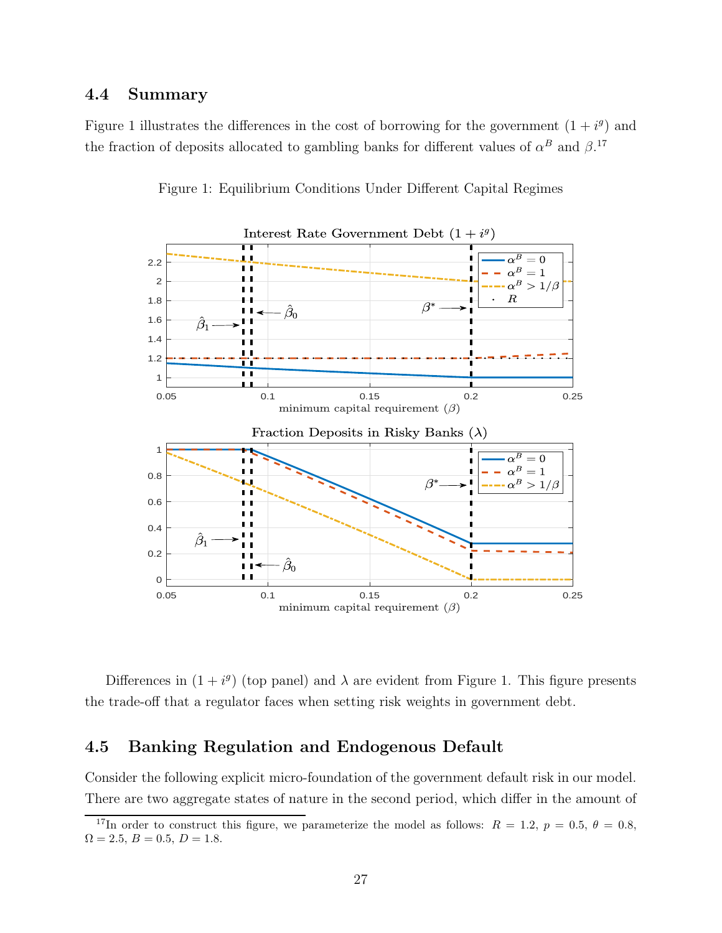# 4.4 Summary

Figure 1 illustrates the differences in the cost of borrowing for the government  $(1 + i<sup>g</sup>)$  and the fraction of deposits allocated to gambling banks for different values of  $\alpha^B$  and  $\beta$ .<sup>17</sup>



Figure 1: Equilibrium Conditions Under Different Capital Regimes

Differences in  $(1 + i<sup>g</sup>)$  (top panel) and  $\lambda$  are evident from Figure 1. This figure presents the trade-off that a regulator faces when setting risk weights in government debt.

# 4.5 Banking Regulation and Endogenous Default

Consider the following explicit micro-foundation of the government default risk in our model. There are two aggregate states of nature in the second period, which differ in the amount of

<sup>&</sup>lt;sup>17</sup>In order to construct this figure, we parameterize the model as follows:  $R = 1.2, p = 0.5, \theta = 0.8$ ,  $\Omega = 2.5, B = 0.5, D = 1.8.$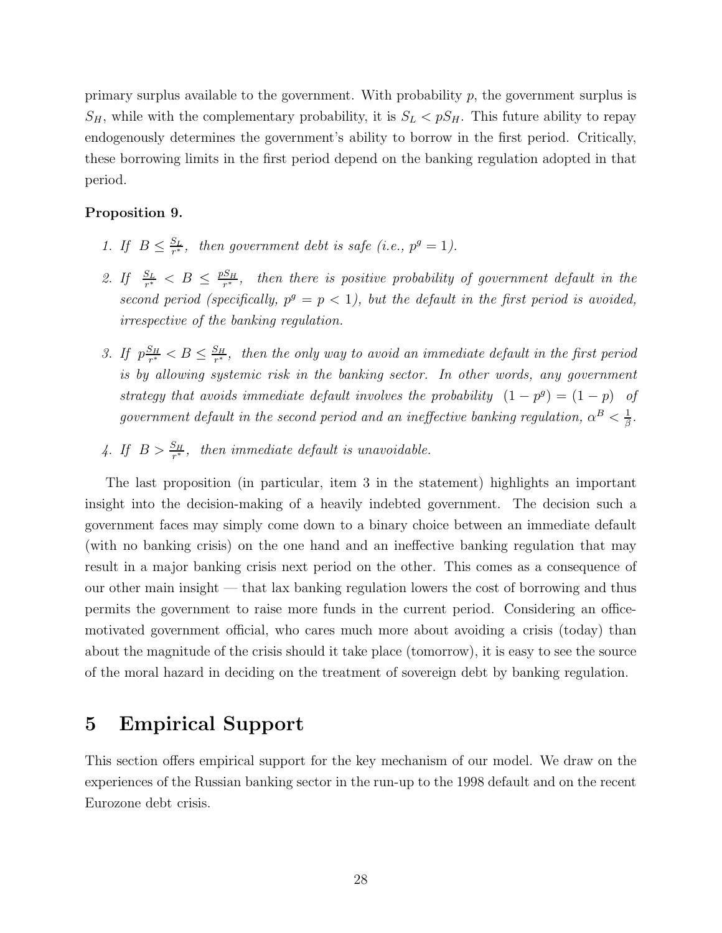primary surplus available to the government. With probability  $p$ , the government surplus is  $S_H$ , while with the complementary probability, it is  $S_L < pS_H$ . This future ability to repay endogenously determines the government's ability to borrow in the first period. Critically, these borrowing limits in the first period depend on the banking regulation adopted in that period.

### Proposition 9.

- 1. If  $B \leq \frac{S_L}{r^*}$  $\frac{S_L}{r^*}$ , then government debt is safe (i.e.,  $p^g = 1$ ).
- 2. If  $\frac{S_L}{r^*} < B \leq \frac{pS_H}{r^*}$  $\frac{S_H}{r^*}$ , then there is positive probability of government default in the second period (specifically,  $p^g = p < 1$ ), but the default in the first period is avoided, irrespective of the banking regulation.
- 3. If  $p\frac{S_H}{r^*}$  $\frac{S_H}{r^*} < B \leq \frac{S_H}{r^*}$  $\frac{S_H}{r^*}$ , then the only way to avoid an immediate default in the first period is by allowing systemic risk in the banking sector. In other words, any government strategy that avoids immediate default involves the probability  $(1 - p^g) = (1 - p)$  of government default in the second period and an ineffective banking regulation,  $\alpha^B < \frac{1}{\beta}$  $\frac{1}{\beta}$ .
- 4. If  $B > \frac{S_H}{r^*}$ , then immediate default is unavoidable.

The last proposition (in particular, item 3 in the statement) highlights an important insight into the decision-making of a heavily indebted government. The decision such a government faces may simply come down to a binary choice between an immediate default (with no banking crisis) on the one hand and an ineffective banking regulation that may result in a major banking crisis next period on the other. This comes as a consequence of our other main insight — that lax banking regulation lowers the cost of borrowing and thus permits the government to raise more funds in the current period. Considering an officemotivated government official, who cares much more about avoiding a crisis (today) than about the magnitude of the crisis should it take place (tomorrow), it is easy to see the source of the moral hazard in deciding on the treatment of sovereign debt by banking regulation.

# 5 Empirical Support

This section offers empirical support for the key mechanism of our model. We draw on the experiences of the Russian banking sector in the run-up to the 1998 default and on the recent Eurozone debt crisis.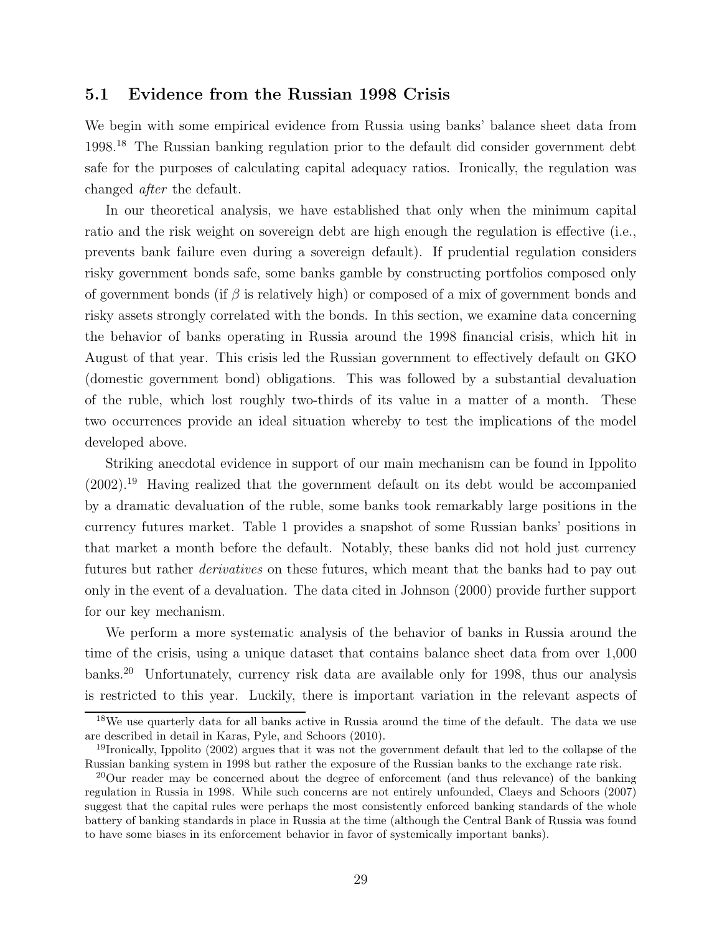# 5.1 Evidence from the Russian 1998 Crisis

We begin with some empirical evidence from Russia using banks' balance sheet data from 1998.<sup>18</sup> The Russian banking regulation prior to the default did consider government debt safe for the purposes of calculating capital adequacy ratios. Ironically, the regulation was changed after the default.

In our theoretical analysis, we have established that only when the minimum capital ratio and the risk weight on sovereign debt are high enough the regulation is effective (i.e., prevents bank failure even during a sovereign default). If prudential regulation considers risky government bonds safe, some banks gamble by constructing portfolios composed only of government bonds (if  $\beta$  is relatively high) or composed of a mix of government bonds and risky assets strongly correlated with the bonds. In this section, we examine data concerning the behavior of banks operating in Russia around the 1998 financial crisis, which hit in August of that year. This crisis led the Russian government to effectively default on GKO (domestic government bond) obligations. This was followed by a substantial devaluation of the ruble, which lost roughly two-thirds of its value in a matter of a month. These two occurrences provide an ideal situation whereby to test the implications of the model developed above.

Striking anecdotal evidence in support of our main mechanism can be found in Ippolito (2002).<sup>19</sup> Having realized that the government default on its debt would be accompanied by a dramatic devaluation of the ruble, some banks took remarkably large positions in the currency futures market. Table 1 provides a snapshot of some Russian banks' positions in that market a month before the default. Notably, these banks did not hold just currency futures but rather derivatives on these futures, which meant that the banks had to pay out only in the event of a devaluation. The data cited in Johnson (2000) provide further support for our key mechanism.

We perform a more systematic analysis of the behavior of banks in Russia around the time of the crisis, using a unique dataset that contains balance sheet data from over 1,000 banks.<sup>20</sup> Unfortunately, currency risk data are available only for 1998, thus our analysis is restricted to this year. Luckily, there is important variation in the relevant aspects of

<sup>&</sup>lt;sup>18</sup>We use quarterly data for all banks active in Russia around the time of the default. The data we use are described in detail in Karas, Pyle, and Schoors (2010).

<sup>19</sup>Ironically, Ippolito (2002) argues that it was not the government default that led to the collapse of the Russian banking system in 1998 but rather the exposure of the Russian banks to the exchange rate risk.

 $^{20}$ Our reader may be concerned about the degree of enforcement (and thus relevance) of the banking regulation in Russia in 1998. While such concerns are not entirely unfounded, Claeys and Schoors (2007) suggest that the capital rules were perhaps the most consistently enforced banking standards of the whole battery of banking standards in place in Russia at the time (although the Central Bank of Russia was found to have some biases in its enforcement behavior in favor of systemically important banks).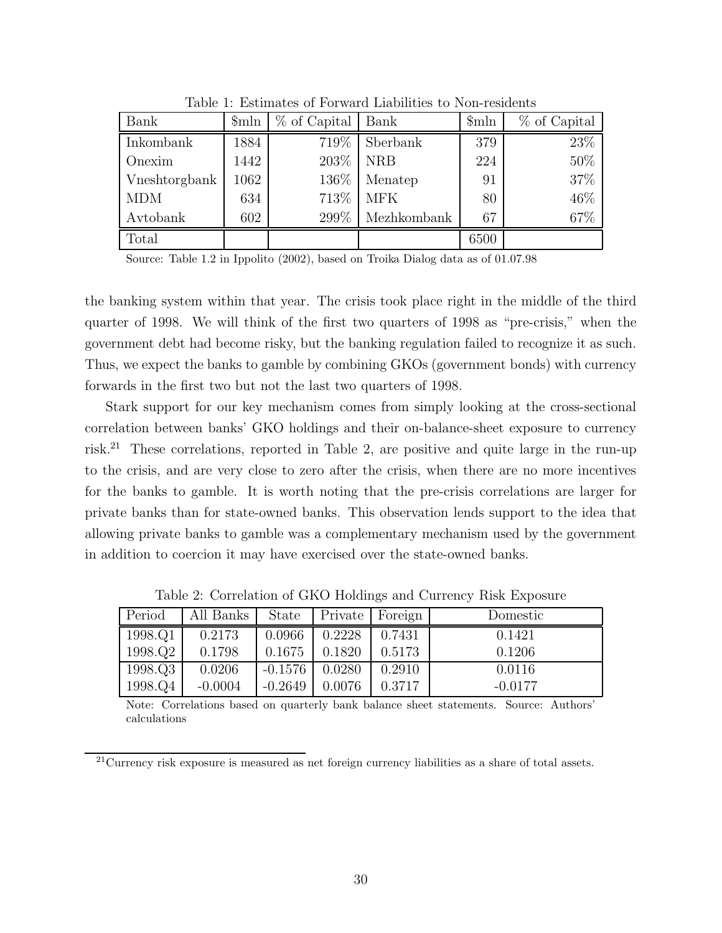| Bank          | $\mathcal{S}_{\text{mln}}$ | $%$ of Capital | Bank        | $\mathcal{S}$ mln | % of Capital |
|---------------|----------------------------|----------------|-------------|-------------------|--------------|
| Inkombank     | 1884                       | 719%           | Sberbank    | 379               | 23%          |
| Onexim        | 1442                       | 203\%          | <b>NRB</b>  |                   | 50%          |
| Vneshtorgbank | 1062                       | 136\%          | Menatep     | 91                | 37%          |
| <b>MDM</b>    | 634                        | 713\%          | <b>MFK</b>  | 80                | 46%          |
| Avtobank      | 602                        | 299\%          | Mezhkombank | 67                | 67%          |
| Total         |                            |                |             | 6500              |              |

Table 1: Estimates of Forward Liabilities to Non-residents

Source: Table 1.2 in Ippolito (2002), based on Troika Dialog data as of 01.07.98

the banking system within that year. The crisis took place right in the middle of the third quarter of 1998. We will think of the first two quarters of 1998 as "pre-crisis," when the government debt had become risky, but the banking regulation failed to recognize it as such. Thus, we expect the banks to gamble by combining GKOs (government bonds) with currency forwards in the first two but not the last two quarters of 1998.

Stark support for our key mechanism comes from simply looking at the cross-sectional correlation between banks' GKO holdings and their on-balance-sheet exposure to currency risk.<sup>21</sup> These correlations, reported in Table 2, are positive and quite large in the run-up to the crisis, and are very close to zero after the crisis, when there are no more incentives for the banks to gamble. It is worth noting that the pre-crisis correlations are larger for private banks than for state-owned banks. This observation lends support to the idea that allowing private banks to gamble was a complementary mechanism used by the government in addition to coercion it may have exercised over the state-owned banks.

| Period  | All Banks | <b>State</b> | Private | Foreign | Domestic  |
|---------|-----------|--------------|---------|---------|-----------|
| 1998.Q1 | 0.2173    | 0.0966       | 0.2228  | 0.7431  | 0.1421    |
| 1998.Q2 | 0.1798    | 0.1675       | 0.1820  | 0.5173  | 0.1206    |
| 1998.Q3 | 0.0206    | $-0.1576$    | 0.0280  | 0.2910  | 0.0116    |
| 1998.Q4 | $-0.0004$ | $-0.2649$    | 0.0076  | 0.3717  | $-0.0177$ |

Table 2: Correlation of GKO Holdings and Currency Risk Exposure

Note: Correlations based on quarterly bank balance sheet statements. Source: Authors' calculations

<sup>21</sup>Currency risk exposure is measured as net foreign currency liabilities as a share of total assets.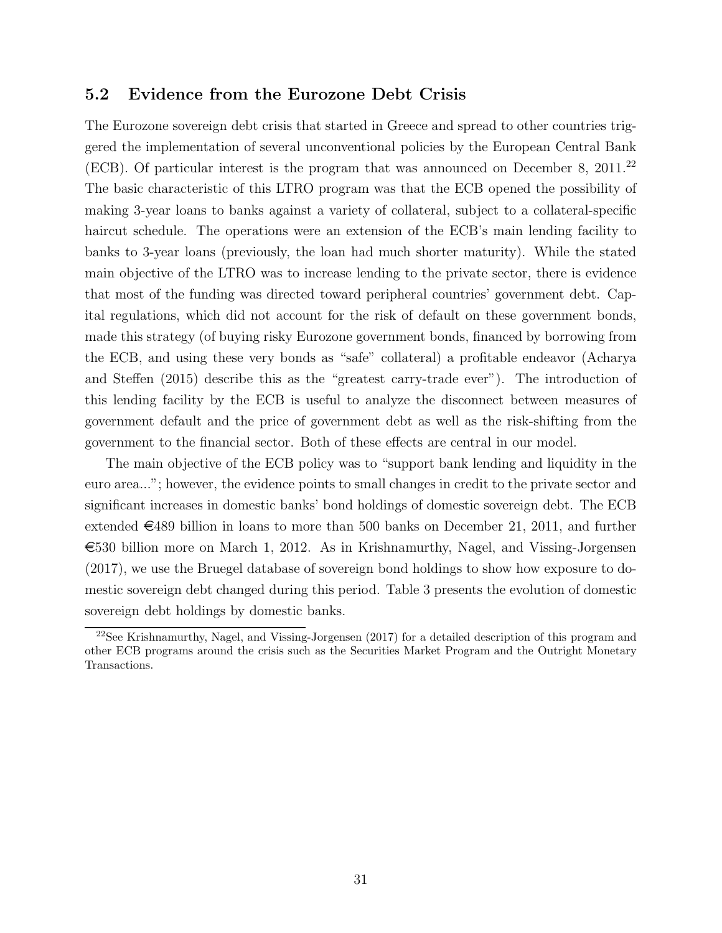# 5.2 Evidence from the Eurozone Debt Crisis

The Eurozone sovereign debt crisis that started in Greece and spread to other countries triggered the implementation of several unconventional policies by the European Central Bank (ECB). Of particular interest is the program that was announced on December 8, 2011.<sup>22</sup> The basic characteristic of this LTRO program was that the ECB opened the possibility of making 3-year loans to banks against a variety of collateral, subject to a collateral-specific haircut schedule. The operations were an extension of the ECB's main lending facility to banks to 3-year loans (previously, the loan had much shorter maturity). While the stated main objective of the LTRO was to increase lending to the private sector, there is evidence that most of the funding was directed toward peripheral countries' government debt. Capital regulations, which did not account for the risk of default on these government bonds, made this strategy (of buying risky Eurozone government bonds, financed by borrowing from the ECB, and using these very bonds as "safe" collateral) a profitable endeavor (Acharya and Steffen (2015) describe this as the "greatest carry-trade ever"). The introduction of this lending facility by the ECB is useful to analyze the disconnect between measures of government default and the price of government debt as well as the risk-shifting from the government to the financial sector. Both of these effects are central in our model.

The main objective of the ECB policy was to "support bank lending and liquidity in the euro area..."; however, the evidence points to small changes in credit to the private sector and significant increases in domestic banks' bond holdings of domestic sovereign debt. The ECB extended  $\in$ 489 billion in loans to more than 500 banks on December 21, 2011, and further  $\epsilon$ 530 billion more on March 1, 2012. As in Krishnamurthy, Nagel, and Vissing-Jorgensen (2017), we use the Bruegel database of sovereign bond holdings to show how exposure to domestic sovereign debt changed during this period. Table 3 presents the evolution of domestic sovereign debt holdings by domestic banks.

<sup>&</sup>lt;sup>22</sup>See Krishnamurthy, Nagel, and Vissing-Jorgensen  $(2017)$  for a detailed description of this program and other ECB programs around the crisis such as the Securities Market Program and the Outright Monetary Transactions.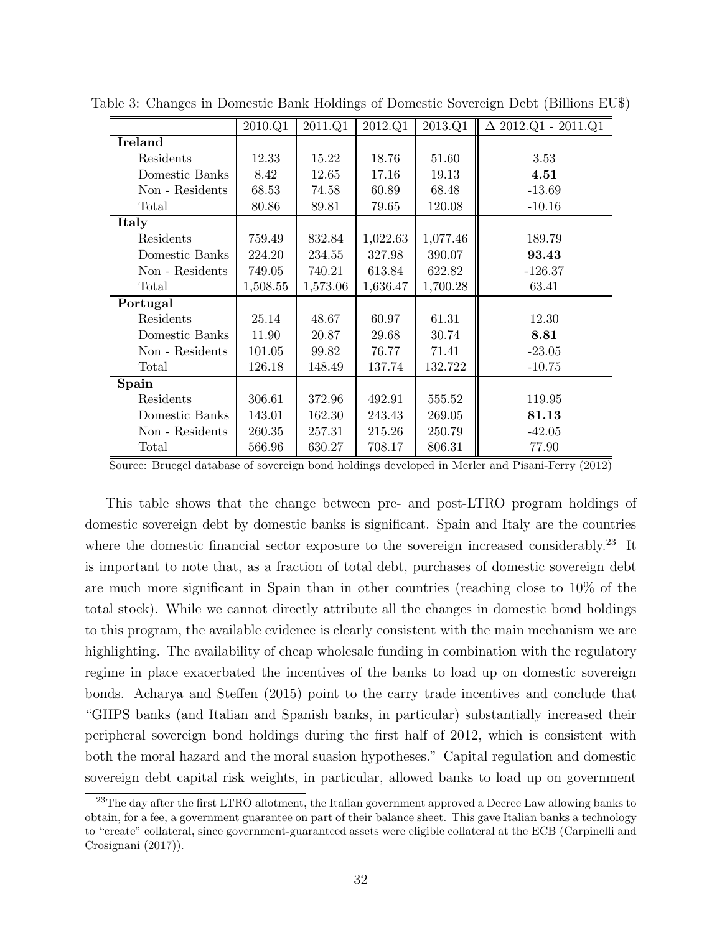|                 | 2010.Q1  | 2011.Q1  | 2012.Q1  | 2013.Q1  | $\Delta$ 2012.Q1 - 2011.Q1 |
|-----------------|----------|----------|----------|----------|----------------------------|
| <b>Ireland</b>  |          |          |          |          |                            |
| Residents       | 12.33    | 15.22    | 18.76    | 51.60    | 3.53                       |
| Domestic Banks  | 8.42     | 12.65    | 17.16    | 19.13    | 4.51                       |
| Non - Residents | 68.53    | 74.58    | 60.89    | 68.48    | $-13.69$                   |
| Total           | 80.86    | 89.81    | 79.65    | 120.08   | $-10.16$                   |
| Italy           |          |          |          |          |                            |
| Residents       | 759.49   | 832.84   | 1,022.63 | 1,077.46 | 189.79                     |
| Domestic Banks  | 224.20   | 234.55   | 327.98   | 390.07   | 93.43                      |
| Non - Residents | 749.05   | 740.21   | 613.84   | 622.82   | $-126.37$                  |
| Total           | 1,508.55 | 1,573.06 | 1,636.47 | 1,700.28 | 63.41                      |
| Portugal        |          |          |          |          |                            |
| Residents       | 25.14    | 48.67    | 60.97    | 61.31    | 12.30                      |
| Domestic Banks  | 11.90    | 20.87    | 29.68    | 30.74    | 8.81                       |
| Non - Residents | 101.05   | 99.82    | 76.77    | 71.41    | $-23.05$                   |
| Total           | 126.18   | 148.49   | 137.74   | 132.722  | $-10.75$                   |
| Spain           |          |          |          |          |                            |
| Residents       | 306.61   | 372.96   | 492.91   | 555.52   | 119.95                     |
| Domestic Banks  | 143.01   | 162.30   | 243.43   | 269.05   | 81.13                      |
| Non - Residents | 260.35   | 257.31   | 215.26   | 250.79   | $-42.05$                   |
| Total           | 566.96   | 630.27   | 708.17   | 806.31   | 77.90                      |

Table 3: Changes in Domestic Bank Holdings of Domestic Sovereign Debt (Billions EU\$)

Source: Bruegel database of sovereign bond holdings developed in Merler and Pisani-Ferry (2012)

This table shows that the change between pre- and post-LTRO program holdings of domestic sovereign debt by domestic banks is significant. Spain and Italy are the countries where the domestic financial sector exposure to the sovereign increased considerably.<sup>23</sup> It is important to note that, as a fraction of total debt, purchases of domestic sovereign debt are much more significant in Spain than in other countries (reaching close to 10% of the total stock). While we cannot directly attribute all the changes in domestic bond holdings to this program, the available evidence is clearly consistent with the main mechanism we are highlighting. The availability of cheap wholesale funding in combination with the regulatory regime in place exacerbated the incentives of the banks to load up on domestic sovereign bonds. Acharya and Steffen (2015) point to the carry trade incentives and conclude that "GIIPS banks (and Italian and Spanish banks, in particular) substantially increased their peripheral sovereign bond holdings during the first half of 2012, which is consistent with both the moral hazard and the moral suasion hypotheses." Capital regulation and domestic sovereign debt capital risk weights, in particular, allowed banks to load up on government

<sup>&</sup>lt;sup>23</sup>The day after the first LTRO allotment, the Italian government approved a Decree Law allowing banks to obtain, for a fee, a government guarantee on part of their balance sheet. This gave Italian banks a technology to "create" collateral, since government-guaranteed assets were eligible collateral at the ECB (Carpinelli and Crosignani (2017)).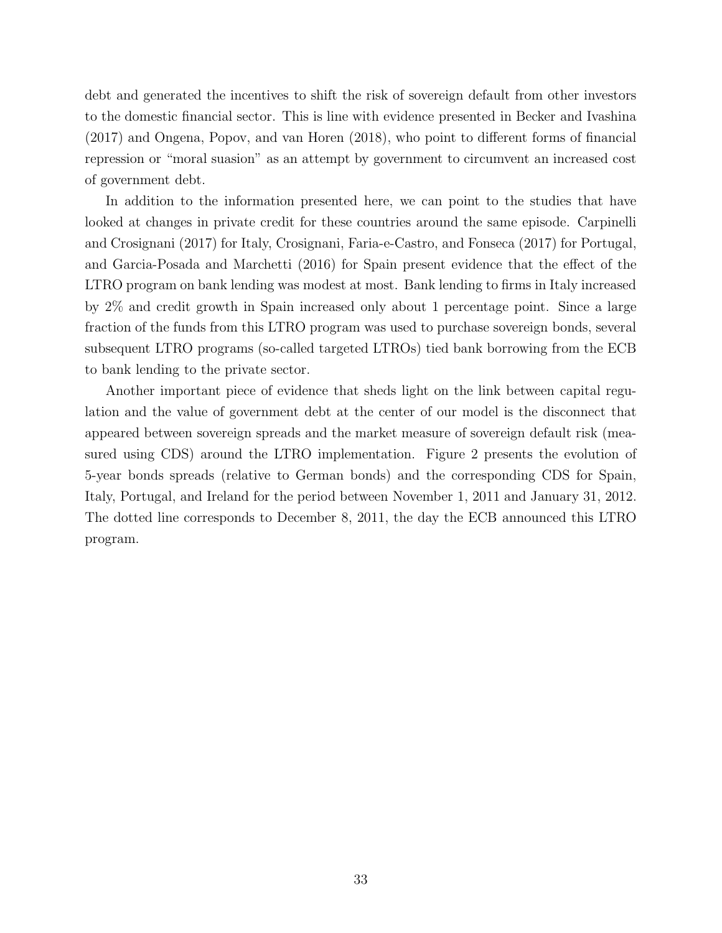debt and generated the incentives to shift the risk of sovereign default from other investors to the domestic financial sector. This is line with evidence presented in Becker and Ivashina (2017) and Ongena, Popov, and van Horen (2018), who point to different forms of financial repression or "moral suasion" as an attempt by government to circumvent an increased cost of government debt.

In addition to the information presented here, we can point to the studies that have looked at changes in private credit for these countries around the same episode. Carpinelli and Crosignani (2017) for Italy, Crosignani, Faria-e-Castro, and Fonseca (2017) for Portugal, and Garcia-Posada and Marchetti (2016) for Spain present evidence that the effect of the LTRO program on bank lending was modest at most. Bank lending to firms in Italy increased by 2% and credit growth in Spain increased only about 1 percentage point. Since a large fraction of the funds from this LTRO program was used to purchase sovereign bonds, several subsequent LTRO programs (so-called targeted LTROs) tied bank borrowing from the ECB to bank lending to the private sector.

Another important piece of evidence that sheds light on the link between capital regulation and the value of government debt at the center of our model is the disconnect that appeared between sovereign spreads and the market measure of sovereign default risk (measured using CDS) around the LTRO implementation. Figure 2 presents the evolution of 5-year bonds spreads (relative to German bonds) and the corresponding CDS for Spain, Italy, Portugal, and Ireland for the period between November 1, 2011 and January 31, 2012. The dotted line corresponds to December 8, 2011, the day the ECB announced this LTRO program.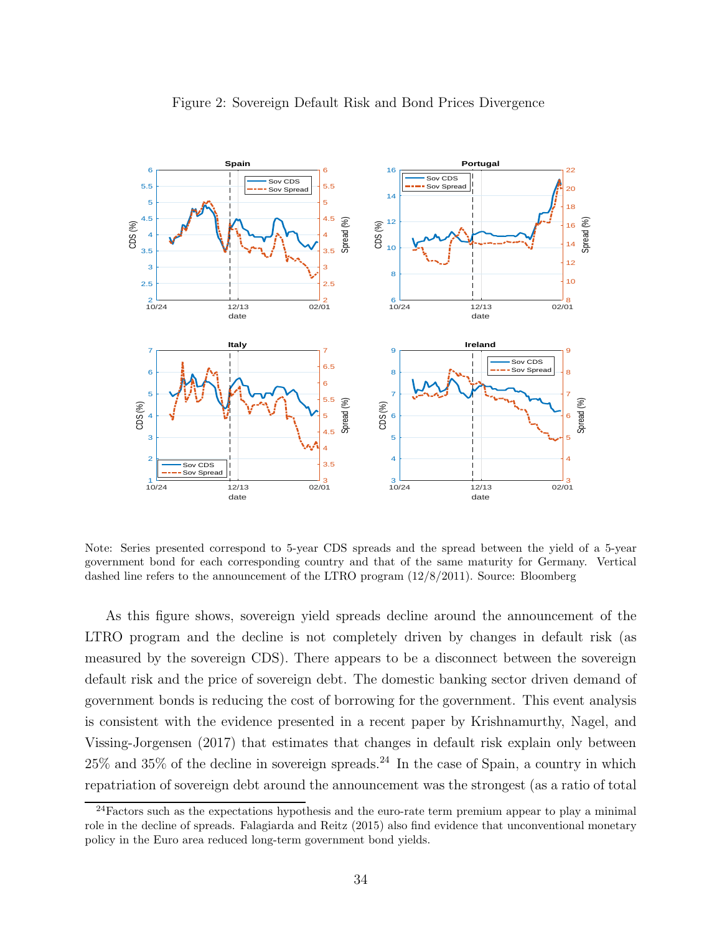

### Figure 2: Sovereign Default Risk and Bond Prices Divergence

Note: Series presented correspond to 5-year CDS spreads and the spread between the yield of a 5-year government bond for each corresponding country and that of the same maturity for Germany. Vertical dashed line refers to the announcement of the LTRO program (12/8/2011). Source: Bloomberg

As this figure shows, sovereign yield spreads decline around the announcement of the LTRO program and the decline is not completely driven by changes in default risk (as measured by the sovereign CDS). There appears to be a disconnect between the sovereign default risk and the price of sovereign debt. The domestic banking sector driven demand of government bonds is reducing the cost of borrowing for the government. This event analysis is consistent with the evidence presented in a recent paper by Krishnamurthy, Nagel, and Vissing-Jorgensen (2017) that estimates that changes in default risk explain only between  $25\%$  and  $35\%$  of the decline in sovereign spreads.<sup>24</sup> In the case of Spain, a country in which repatriation of sovereign debt around the announcement was the strongest (as a ratio of total

 $24$ Factors such as the expectations hypothesis and the euro-rate term premium appear to play a minimal role in the decline of spreads. Falagiarda and Reitz (2015) also find evidence that unconventional monetary policy in the Euro area reduced long-term government bond yields.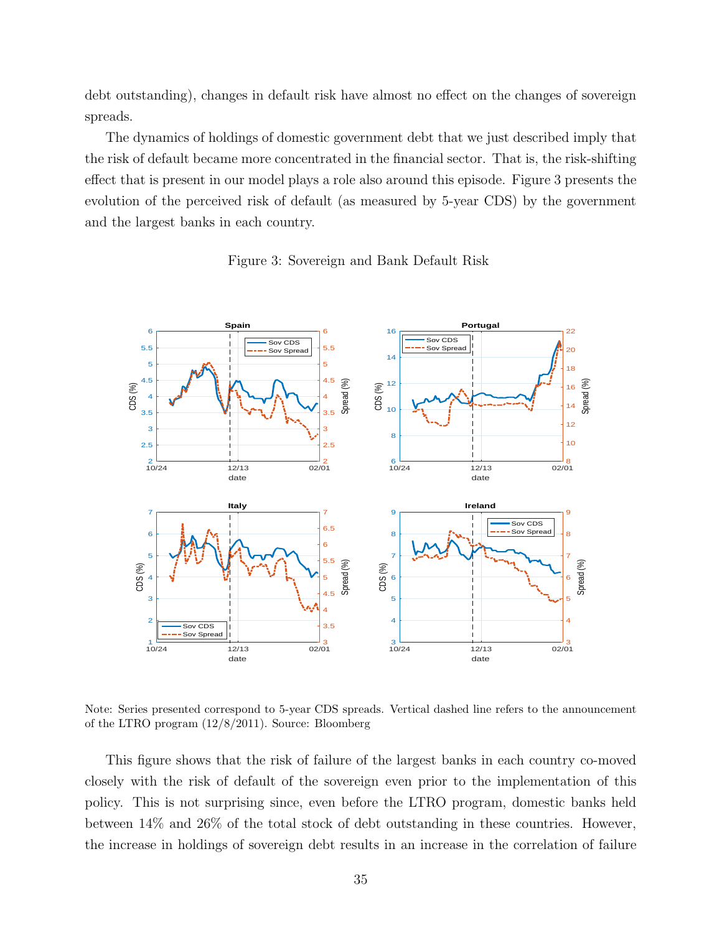debt outstanding), changes in default risk have almost no effect on the changes of sovereign spreads.

The dynamics of holdings of domestic government debt that we just described imply that the risk of default became more concentrated in the financial sector. That is, the risk-shifting effect that is present in our model plays a role also around this episode. Figure 3 presents the evolution of the perceived risk of default (as measured by 5-year CDS) by the government and the largest banks in each country.



Figure 3: Sovereign and Bank Default Risk

Note: Series presented correspond to 5-year CDS spreads. Vertical dashed line refers to the announcement of the LTRO program (12/8/2011). Source: Bloomberg

This figure shows that the risk of failure of the largest banks in each country co-moved closely with the risk of default of the sovereign even prior to the implementation of this policy. This is not surprising since, even before the LTRO program, domestic banks held between 14% and 26% of the total stock of debt outstanding in these countries. However, the increase in holdings of sovereign debt results in an increase in the correlation of failure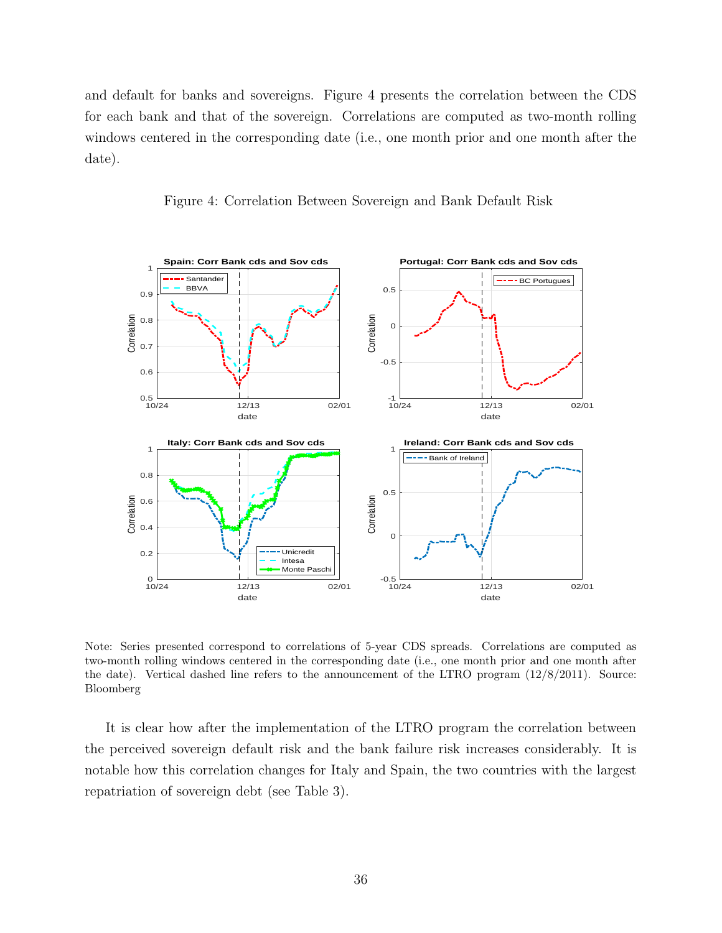and default for banks and sovereigns. Figure 4 presents the correlation between the CDS for each bank and that of the sovereign. Correlations are computed as two-month rolling windows centered in the corresponding date (i.e., one month prior and one month after the date).



Figure 4: Correlation Between Sovereign and Bank Default Risk

Note: Series presented correspond to correlations of 5-year CDS spreads. Correlations are computed as two-month rolling windows centered in the corresponding date (i.e., one month prior and one month after the date). Vertical dashed line refers to the announcement of the LTRO program (12/8/2011). Source: Bloomberg

It is clear how after the implementation of the LTRO program the correlation between the perceived sovereign default risk and the bank failure risk increases considerably. It is notable how this correlation changes for Italy and Spain, the two countries with the largest repatriation of sovereign debt (see Table 3).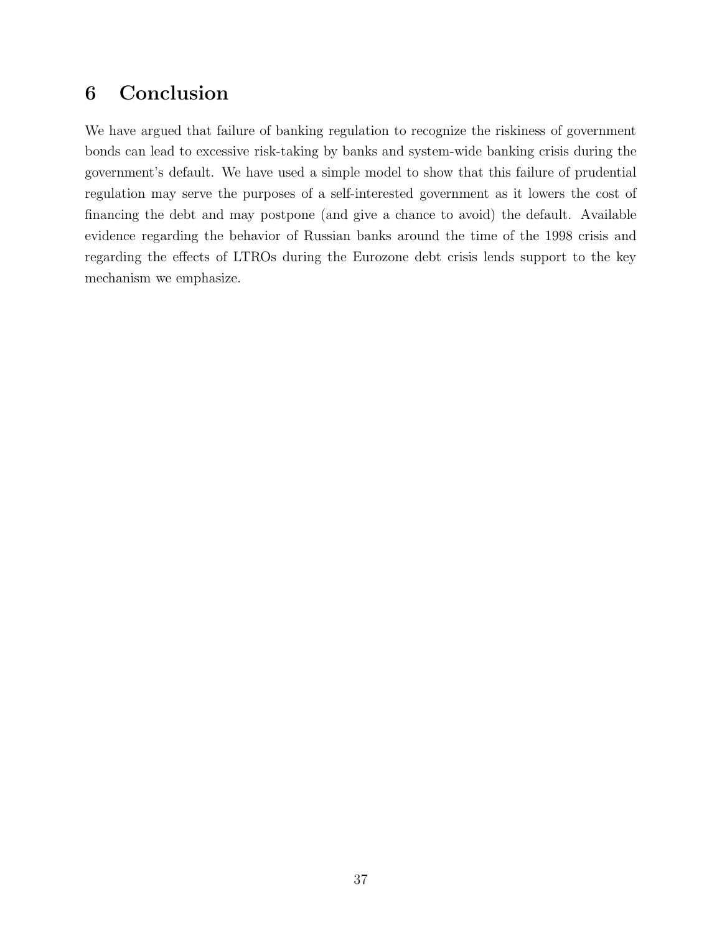# 6 Conclusion

We have argued that failure of banking regulation to recognize the riskiness of government bonds can lead to excessive risk-taking by banks and system-wide banking crisis during the government's default. We have used a simple model to show that this failure of prudential regulation may serve the purposes of a self-interested government as it lowers the cost of financing the debt and may postpone (and give a chance to avoid) the default. Available evidence regarding the behavior of Russian banks around the time of the 1998 crisis and regarding the effects of LTROs during the Eurozone debt crisis lends support to the key mechanism we emphasize.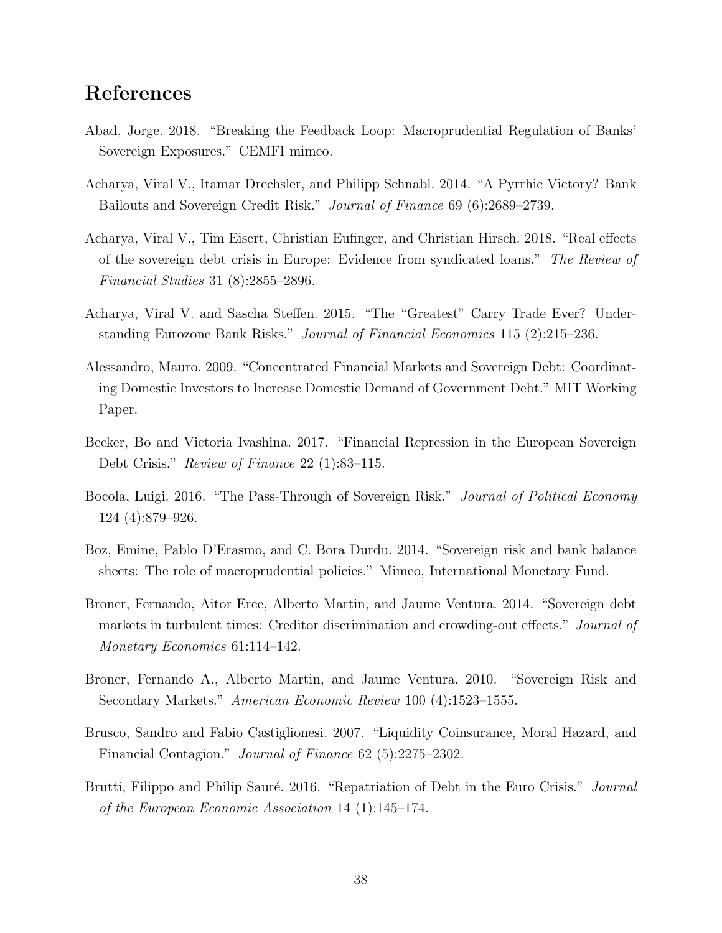# References

- Abad, Jorge. 2018. "Breaking the Feedback Loop: Macroprudential Regulation of Banks' Sovereign Exposures." CEMFI mimeo.
- Acharya, Viral V., Itamar Drechsler, and Philipp Schnabl. 2014. "A Pyrrhic Victory? Bank Bailouts and Sovereign Credit Risk." Journal of Finance 69 (6):2689–2739.
- Acharya, Viral V., Tim Eisert, Christian Eufinger, and Christian Hirsch. 2018. "Real effects of the sovereign debt crisis in Europe: Evidence from syndicated loans." The Review of Financial Studies 31 (8):2855–2896.
- Acharya, Viral V. and Sascha Steffen. 2015. "The "Greatest" Carry Trade Ever? Understanding Eurozone Bank Risks." Journal of Financial Economics 115 (2):215–236.
- Alessandro, Mauro. 2009. "Concentrated Financial Markets and Sovereign Debt: Coordinating Domestic Investors to Increase Domestic Demand of Government Debt." MIT Working Paper.
- Becker, Bo and Victoria Ivashina. 2017. "Financial Repression in the European Sovereign Debt Crisis." Review of Finance 22 (1):83–115.
- Bocola, Luigi. 2016. "The Pass-Through of Sovereign Risk." *Journal of Political Economy* 124 (4):879–926.
- Boz, Emine, Pablo D'Erasmo, and C. Bora Durdu. 2014. "Sovereign risk and bank balance sheets: The role of macroprudential policies." Mimeo, International Monetary Fund.
- Broner, Fernando, Aitor Erce, Alberto Martin, and Jaume Ventura. 2014. "Sovereign debt markets in turbulent times: Creditor discrimination and crowding-out effects." Journal of Monetary Economics 61:114–142.
- Broner, Fernando A., Alberto Martin, and Jaume Ventura. 2010. "Sovereign Risk and Secondary Markets." American Economic Review 100 (4):1523–1555.
- Brusco, Sandro and Fabio Castiglionesi. 2007. "Liquidity Coinsurance, Moral Hazard, and Financial Contagion." Journal of Finance 62 (5):2275–2302.
- Brutti, Filippo and Philip Sauré. 2016. "Repatriation of Debt in the Euro Crisis." Journal of the European Economic Association 14 (1):145–174.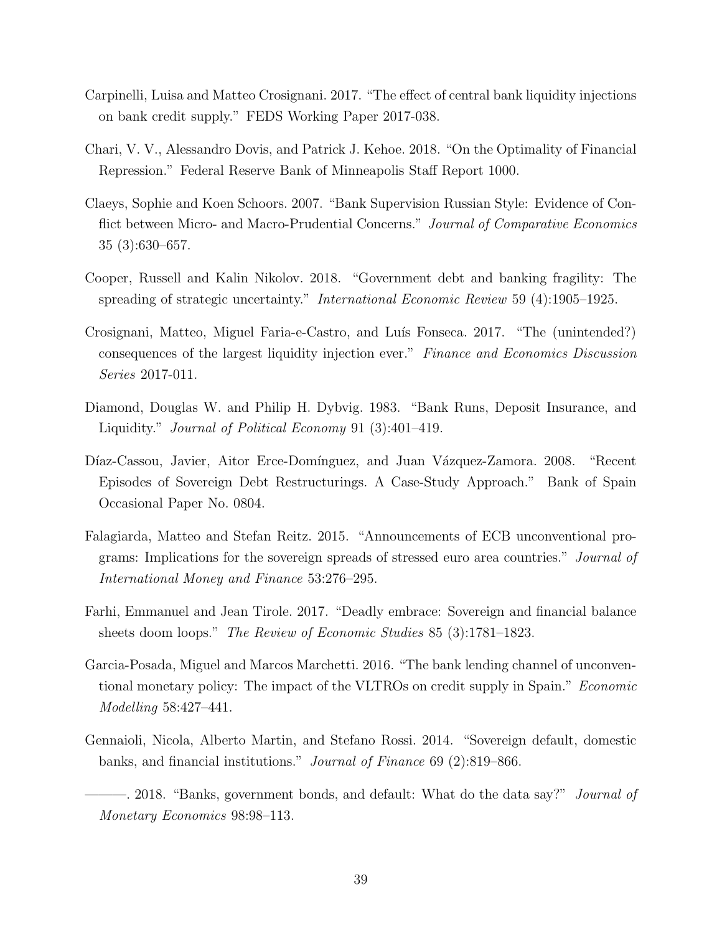- Carpinelli, Luisa and Matteo Crosignani. 2017. "The effect of central bank liquidity injections on bank credit supply." FEDS Working Paper 2017-038.
- Chari, V. V., Alessandro Dovis, and Patrick J. Kehoe. 2018. "On the Optimality of Financial Repression." Federal Reserve Bank of Minneapolis Staff Report 1000.
- Claeys, Sophie and Koen Schoors. 2007. "Bank Supervision Russian Style: Evidence of Conflict between Micro- and Macro-Prudential Concerns." Journal of Comparative Economics 35 (3):630–657.
- Cooper, Russell and Kalin Nikolov. 2018. "Government debt and banking fragility: The spreading of strategic uncertainty." International Economic Review 59 (4):1905–1925.
- Crosignani, Matteo, Miguel Faria-e-Castro, and Luís Fonseca. 2017. "The (unintended?) consequences of the largest liquidity injection ever." Finance and Economics Discussion Series 2017-011.
- Diamond, Douglas W. and Philip H. Dybvig. 1983. "Bank Runs, Deposit Insurance, and Liquidity." Journal of Political Economy 91 (3):401–419.
- Díaz-Cassou, Javier, Aitor Erce-Domínguez, and Juan Vázquez-Zamora. 2008. "Recent Episodes of Sovereign Debt Restructurings. A Case-Study Approach." Bank of Spain Occasional Paper No. 0804.
- Falagiarda, Matteo and Stefan Reitz. 2015. "Announcements of ECB unconventional programs: Implications for the sovereign spreads of stressed euro area countries." Journal of International Money and Finance 53:276–295.
- Farhi, Emmanuel and Jean Tirole. 2017. "Deadly embrace: Sovereign and financial balance sheets doom loops." The Review of Economic Studies 85 (3):1781–1823.
- Garcia-Posada, Miguel and Marcos Marchetti. 2016. "The bank lending channel of unconventional monetary policy: The impact of the VLTROs on credit supply in Spain." Economic Modelling 58:427–441.
- Gennaioli, Nicola, Alberto Martin, and Stefano Rossi. 2014. "Sovereign default, domestic banks, and financial institutions." Journal of Finance 69 (2):819–866.
- -. 2018. "Banks, government bonds, and default: What do the data say?" *Journal of* Monetary Economics 98:98–113.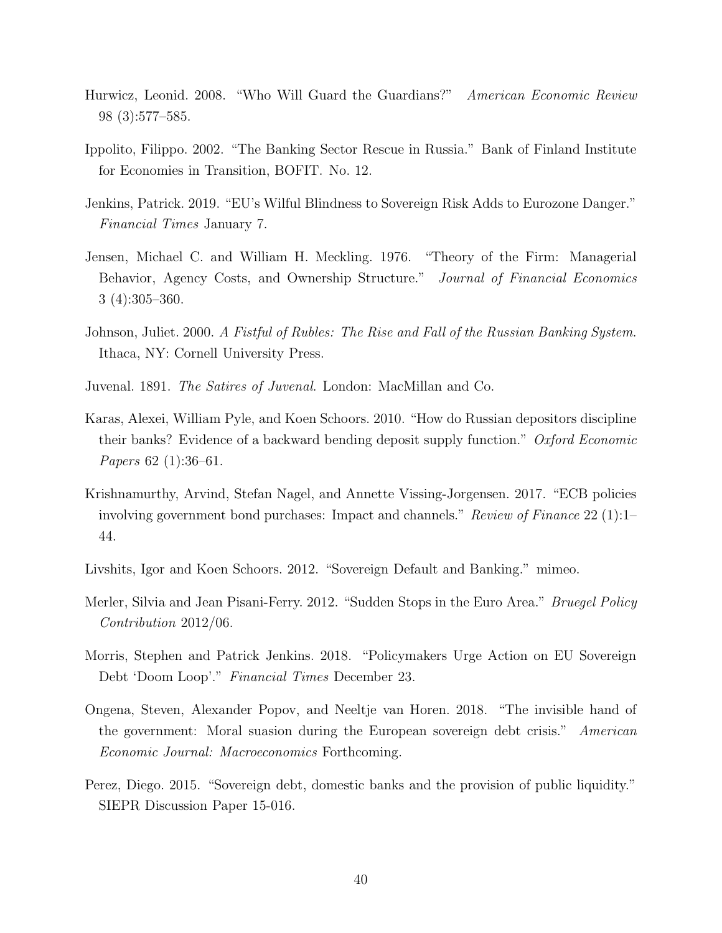- Hurwicz, Leonid. 2008. "Who Will Guard the Guardians?" American Economic Review 98 (3):577–585.
- Ippolito, Filippo. 2002. "The Banking Sector Rescue in Russia." Bank of Finland Institute for Economies in Transition, BOFIT. No. 12.
- Jenkins, Patrick. 2019. "EU's Wilful Blindness to Sovereign Risk Adds to Eurozone Danger." Financial Times January 7.
- Jensen, Michael C. and William H. Meckling. 1976. "Theory of the Firm: Managerial Behavior, Agency Costs, and Ownership Structure." Journal of Financial Economics 3 (4):305–360.
- Johnson, Juliet. 2000. A Fistful of Rubles: The Rise and Fall of the Russian Banking System. Ithaca, NY: Cornell University Press.
- Juvenal. 1891. The Satires of Juvenal. London: MacMillan and Co.
- Karas, Alexei, William Pyle, and Koen Schoors. 2010. "How do Russian depositors discipline their banks? Evidence of a backward bending deposit supply function." Oxford Economic Papers 62 (1):36–61.
- Krishnamurthy, Arvind, Stefan Nagel, and Annette Vissing-Jorgensen. 2017. "ECB policies involving government bond purchases: Impact and channels." Review of Finance 22 (1):1– 44.
- Livshits, Igor and Koen Schoors. 2012. "Sovereign Default and Banking." mimeo.
- Merler, Silvia and Jean Pisani-Ferry. 2012. "Sudden Stops in the Euro Area." Bruegel Policy Contribution 2012/06.
- Morris, Stephen and Patrick Jenkins. 2018. "Policymakers Urge Action on EU Sovereign Debt 'Doom Loop'." Financial Times December 23.
- Ongena, Steven, Alexander Popov, and Neeltje van Horen. 2018. "The invisible hand of the government: Moral suasion during the European sovereign debt crisis." American Economic Journal: Macroeconomics Forthcoming.
- Perez, Diego. 2015. "Sovereign debt, domestic banks and the provision of public liquidity." SIEPR Discussion Paper 15-016.